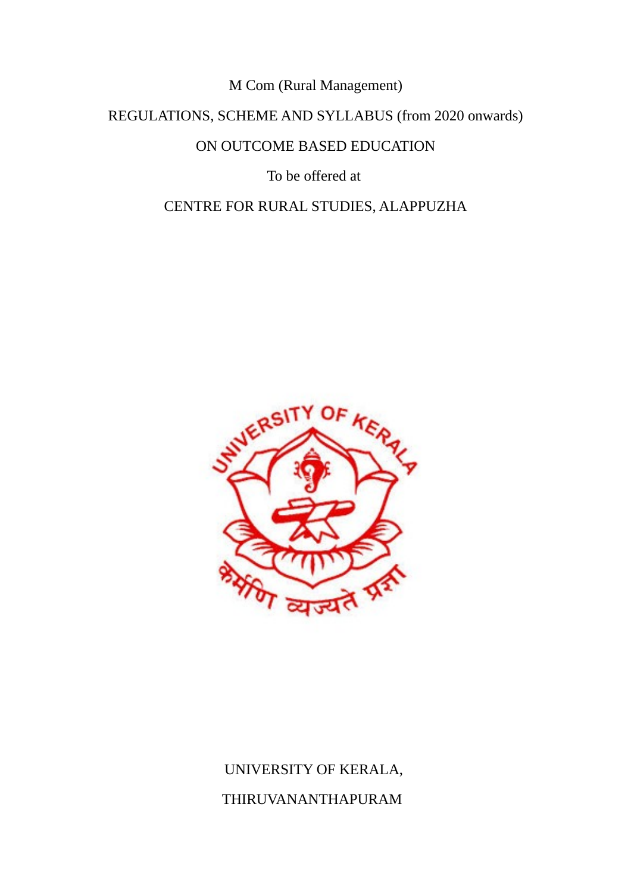M Com (Rural Management)

REGULATIONS, SCHEME AND SYLLABUS (from 2020 onwards)

ON OUTCOME BASED EDUCATION

To be offered at

CENTRE FOR RURAL STUDIES, ALAPPUZHA



# UNIVERSITY OF KERALA, THIRUVANANTHAPURAM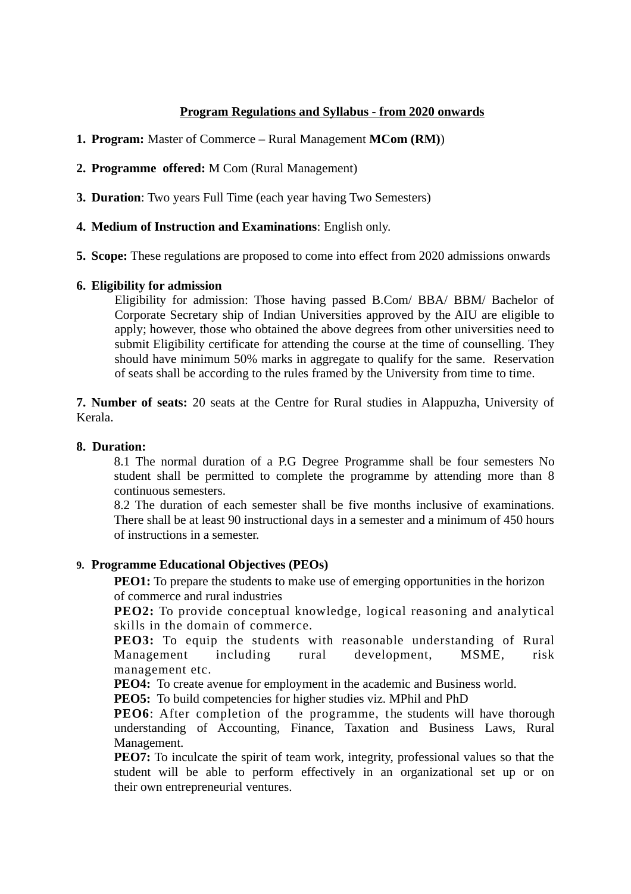### **Program Regulations and Syllabus - from 2020 onwards**

- **1. Program:** Master of Commerce Rural Management **MCom (RM)**)
- **2. Programme offered:** M Com (Rural Management)
- **3. Duration**: Two years Full Time (each year having Two Semesters)
- **4. Medium of Instruction and Examinations**: English only.
- **5. Scope:** These regulations are proposed to come into effect from 2020 admissions onwards

### **6. Eligibility for admission**

Eligibility for admission: Those having passed B.Com/ BBA/ BBM/ Bachelor of Corporate Secretary ship of Indian Universities approved by the AIU are eligible to apply; however, those who obtained the above degrees from other universities need to submit Eligibility certificate for attending the course at the time of counselling. They should have minimum 50% marks in aggregate to qualify for the same. Reservation of seats shall be according to the rules framed by the University from time to time.

**7. Number of seats:** 20 seats at the Centre for Rural studies in Alappuzha, University of Kerala.

### **8. Duration:**

8.1 The normal duration of a P.G Degree Programme shall be four semesters No student shall be permitted to complete the programme by attending more than 8 continuous semesters.

8.2 The duration of each semester shall be five months inclusive of examinations. There shall be at least 90 instructional days in a semester and a minimum of 450 hours of instructions in a semester.

### **9. Programme Educational Objectives (PEOs)**

**PEO1:** To prepare the students to make use of emerging opportunities in the horizon of commerce and rural industries

**PEO2:** To provide conceptual knowledge, logical reasoning and analytical skills in the domain of commerce.

**PEO3:** To equip the students with reasonable understanding of Rural Management including rural development, MSME, risk management etc.

**PEO4:** To create avenue for employment in the academic and Business world.

**PEO5:** To build competencies for higher studies viz. MPhil and PhD

**PEO6**: After completion of the programme, the students will have thorough understanding of Accounting, Finance, Taxation and Business Laws, Rural Management.

**PEO7:** To inculcate the spirit of team work, integrity, professional values so that the student will be able to perform effectively in an organizational set up or on their own entrepreneurial ventures.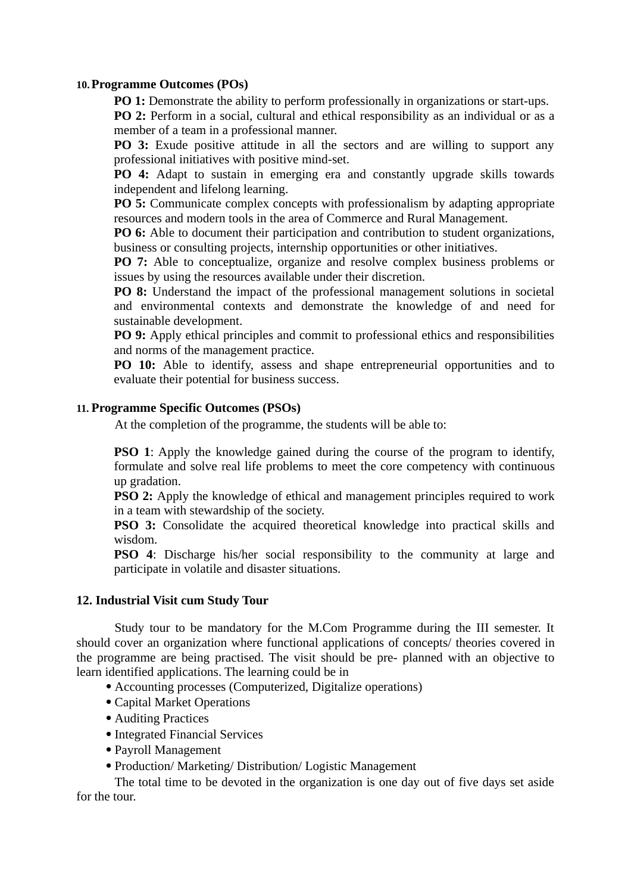### **10.Programme Outcomes (POs)**

**PO 1:** Demonstrate the ability to perform professionally in organizations or start-ups.

**PO 2:** Perform in a social, cultural and ethical responsibility as an individual or as a member of a team in a professional manner.

**PO 3:** Exude positive attitude in all the sectors and are willing to support any professional initiatives with positive mind-set.

**PO 4:** Adapt to sustain in emerging era and constantly upgrade skills towards independent and lifelong learning.

**PO 5:** Communicate complex concepts with professionalism by adapting appropriate resources and modern tools in the area of Commerce and Rural Management.

**PO 6:** Able to document their participation and contribution to student organizations, business or consulting projects, internship opportunities or other initiatives.

**PO 7:** Able to conceptualize, organize and resolve complex business problems or issues by using the resources available under their discretion.

**PO 8:** Understand the impact of the professional management solutions in societal and environmental contexts and demonstrate the knowledge of and need for sustainable development.

**PO 9:** Apply ethical principles and commit to professional ethics and responsibilities and norms of the management practice.

**PO 10:** Able to identify, assess and shape entrepreneurial opportunities and to evaluate their potential for business success.

### **11. Programme Specific Outcomes (PSOs)**

At the completion of the programme, the students will be able to:

**PSO 1**: Apply the knowledge gained during the course of the program to identify, formulate and solve real life problems to meet the core competency with continuous up gradation.

**PSO 2:** Apply the knowledge of ethical and management principles required to work in a team with stewardship of the society.

**PSO 3:** Consolidate the acquired theoretical knowledge into practical skills and wisdom.

**PSO 4**: Discharge his/her social responsibility to the community at large and participate in volatile and disaster situations.

#### **12. Industrial Visit cum Study Tour**

Study tour to be mandatory for the M.Com Programme during the III semester. It should cover an organization where functional applications of concepts/ theories covered in the programme are being practised. The visit should be pre- planned with an objective to learn identified applications. The learning could be in

Accounting processes (Computerized, Digitalize operations)

- Capital Market Operations
- Auditing Practices
- Integrated Financial Services
- Payroll Management
- Production/ Marketing/ Distribution/ Logistic Management

The total time to be devoted in the organization is one day out of five days set aside for the tour.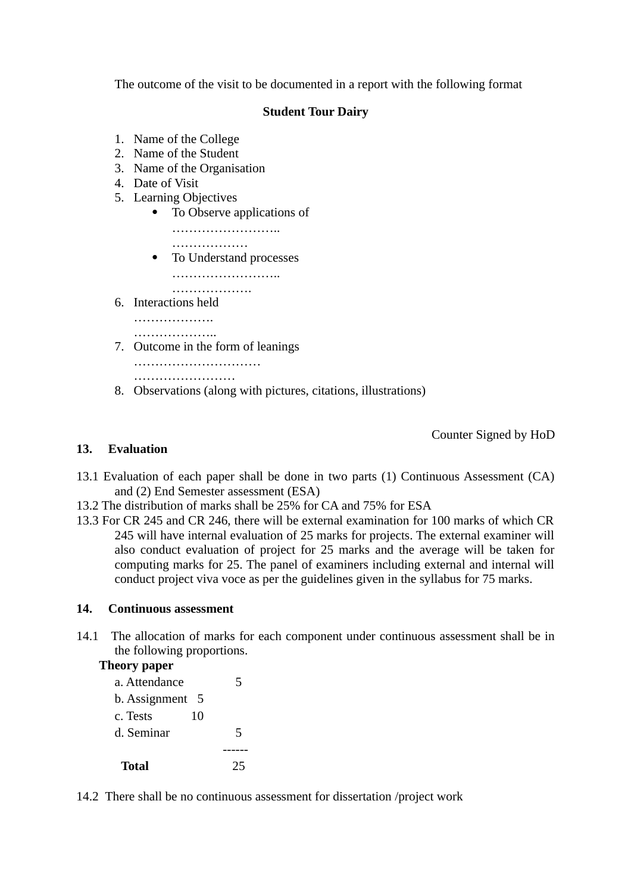The outcome of the visit to be documented in a report with the following format

### **Student Tour Dairy**

- 1. Name of the College
- 2. Name of the Student
- 3. Name of the Organisation
- 4. Date of Visit
- 5. Learning Objectives
	- To Observe applications of
		- ……………………..
	- ………………… • To Understand processes ……………………..
		- ……………………
- 6. Interactions held

……………………

………………..

7. Outcome in the form of leanings

………………………… ……………………………

8. Observations (along with pictures, citations, illustrations)

Counter Signed by HoD

### **13. Evaluation**

- 13.1 Evaluation of each paper shall be done in two parts (1) Continuous Assessment (CA) and (2) End Semester assessment (ESA)
- 13.2 The distribution of marks shall be 25% for CA and 75% for ESA
- 13.3 For CR 245 and CR 246, there will be external examination for 100 marks of which CR 245 will have internal evaluation of 25 marks for projects. The external examiner will also conduct evaluation of project for 25 marks and the average will be taken for computing marks for 25. The panel of examiners including external and internal will conduct project viva voce as per the guidelines given in the syllabus for 75 marks.

### **14. Continuous assessment**

14.1 The allocation of marks for each component under continuous assessment shall be in the following proportions.

### **Theory paper**

| a. Attendance      | 5  |
|--------------------|----|
| b. Assignment<br>5 |    |
| 10<br>c. Tests     |    |
| d. Seminar         | 5  |
|                    |    |
| Total              | 25 |

14.2 There shall be no continuous assessment for dissertation /project work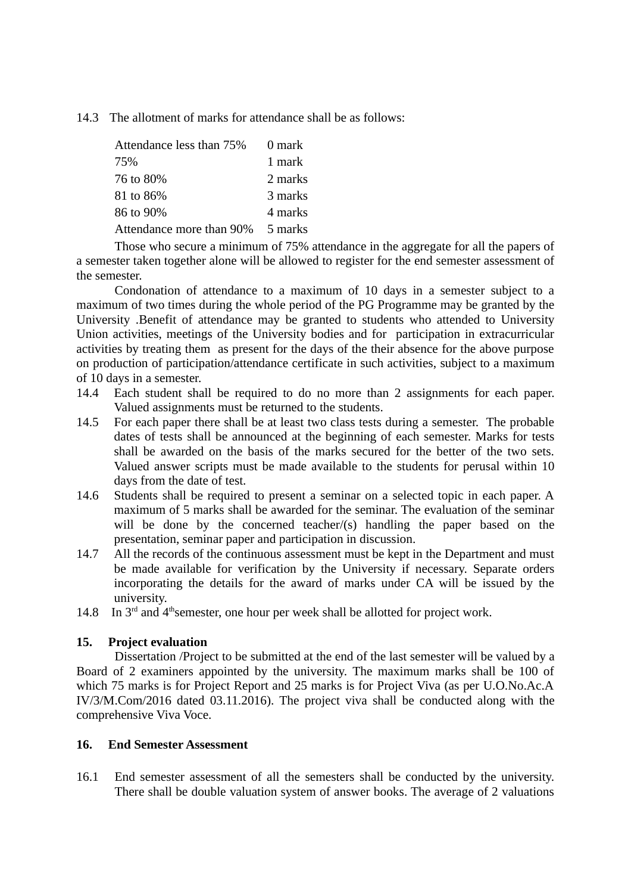14.3 The allotment of marks for attendance shall be as follows:

| Attendance less than 75% | 0 mark  |
|--------------------------|---------|
| 75%                      | 1 mark  |
| 76 to 80%                | 2 marks |
| 81 to 86%                | 3 marks |
| 86 to 90%                | 4 marks |
| Attendance more than 90% | 5 marks |

Those who secure a minimum of 75% attendance in the aggregate for all the papers of a semester taken together alone will be allowed to register for the end semester assessment of the semester.

Condonation of attendance to a maximum of 10 days in a semester subject to a maximum of two times during the whole period of the PG Programme may be granted by the University .Benefit of attendance may be granted to students who attended to University Union activities, meetings of the University bodies and for participation in extracurricular activities by treating them as present for the days of the their absence for the above purpose on production of participation/attendance certificate in such activities, subject to a maximum of 10 days in a semester.

- 14.4 Each student shall be required to do no more than 2 assignments for each paper. Valued assignments must be returned to the students.
- 14.5 For each paper there shall be at least two class tests during a semester. The probable dates of tests shall be announced at the beginning of each semester. Marks for tests shall be awarded on the basis of the marks secured for the better of the two sets. Valued answer scripts must be made available to the students for perusal within 10 days from the date of test.
- 14.6 Students shall be required to present a seminar on a selected topic in each paper. A maximum of 5 marks shall be awarded for the seminar. The evaluation of the seminar will be done by the concerned teacher/(s) handling the paper based on the presentation, seminar paper and participation in discussion.
- 14.7 All the records of the continuous assessment must be kept in the Department and must be made available for verification by the University if necessary. Separate orders incorporating the details for the award of marks under CA will be issued by the university.
- 14.8 In  $3<sup>rd</sup>$  and  $4<sup>th</sup>$ semester, one hour per week shall be allotted for project work.

### **15. Project evaluation**

Dissertation /Project to be submitted at the end of the last semester will be valued by a Board of 2 examiners appointed by the university. The maximum marks shall be 100 of which 75 marks is for Project Report and 25 marks is for Project Viva (as per U.O.No.Ac.A IV/3/M.Com/2016 dated 03.11.2016). The project viva shall be conducted along with the comprehensive Viva Voce.

### **16. End Semester Assessment**

16.1 End semester assessment of all the semesters shall be conducted by the university. There shall be double valuation system of answer books. The average of 2 valuations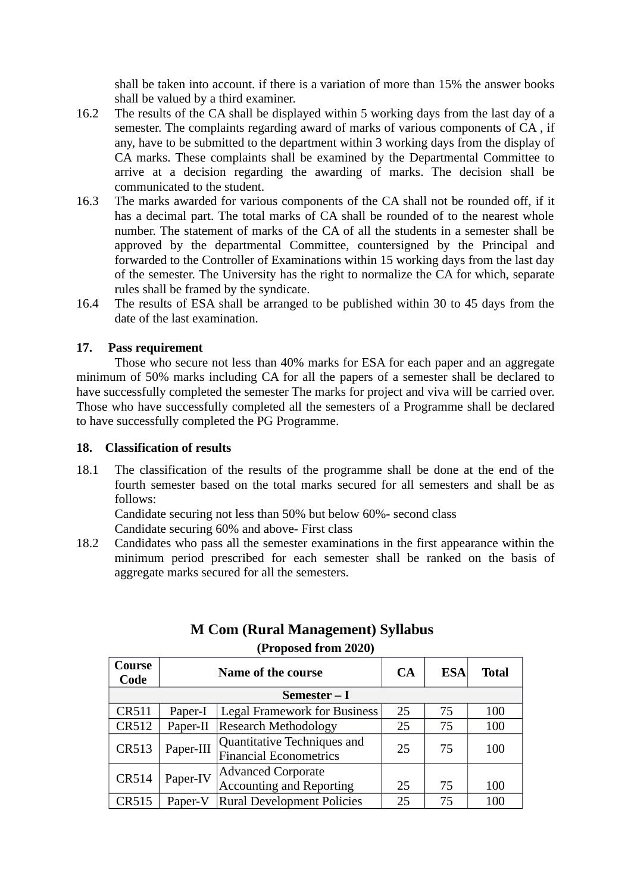shall be taken into account. if there is a variation of more than 15% the answer books shall be valued by a third examiner.

- 16.2 The results of the CA shall be displayed within 5 working days from the last day of a semester. The complaints regarding award of marks of various components of CA , if any, have to be submitted to the department within 3 working days from the display of CA marks. These complaints shall be examined by the Departmental Committee to arrive at a decision regarding the awarding of marks. The decision shall be communicated to the student.
- 16.3 The marks awarded for various components of the CA shall not be rounded off, if it has a decimal part. The total marks of CA shall be rounded of to the nearest whole number. The statement of marks of the CA of all the students in a semester shall be approved by the departmental Committee, countersigned by the Principal and forwarded to the Controller of Examinations within 15 working days from the last day of the semester. The University has the right to normalize the CA for which, separate rules shall be framed by the syndicate.
- 16.4 The results of ESA shall be arranged to be published within 30 to 45 days from the date of the last examination.

### **17. Pass requirement**

Those who secure not less than 40% marks for ESA for each paper and an aggregate minimum of 50% marks including CA for all the papers of a semester shall be declared to have successfully completed the semester The marks for project and viva will be carried over. Those who have successfully completed all the semesters of a Programme shall be declared to have successfully completed the PG Programme.

### **18. Classification of results**

18.1 The classification of the results of the programme shall be done at the end of the fourth semester based on the total marks secured for all semesters and shall be as follows:

Candidate securing not less than 50% but below 60%- second class Candidate securing 60% and above- First class

18.2 Candidates who pass all the semester examinations in the first appearance within the minimum period prescribed for each semester shall be ranked on the basis of aggregate marks secured for all the semesters.

| Course<br>Code | Name of the course |                                                              | <b>CA</b> | <b>ESA</b> | Total |
|----------------|--------------------|--------------------------------------------------------------|-----------|------------|-------|
| Semester – I   |                    |                                                              |           |            |       |
| <b>CR511</b>   | Paper-I            | <b>Legal Framework for Business</b>                          | 25        | 75         | 100   |
| <b>CR512</b>   | Paper-II           | <b>Research Methodology</b>                                  | 25        | 75         | 100   |
| CR513          | Paper-III          | Quantitative Techniques and<br><b>Financial Econometrics</b> | 25        | 75         | 100   |
| CR514          | Paper-IV           | <b>Advanced Corporate</b><br><b>Accounting and Reporting</b> | 25        | 75         | 100   |
| CR515          | Paper-V            | <b>Rural Development Policies</b>                            | 25        | 75         | 100   |

### **M Com (Rural Management) Syllabus (Proposed from 2020)**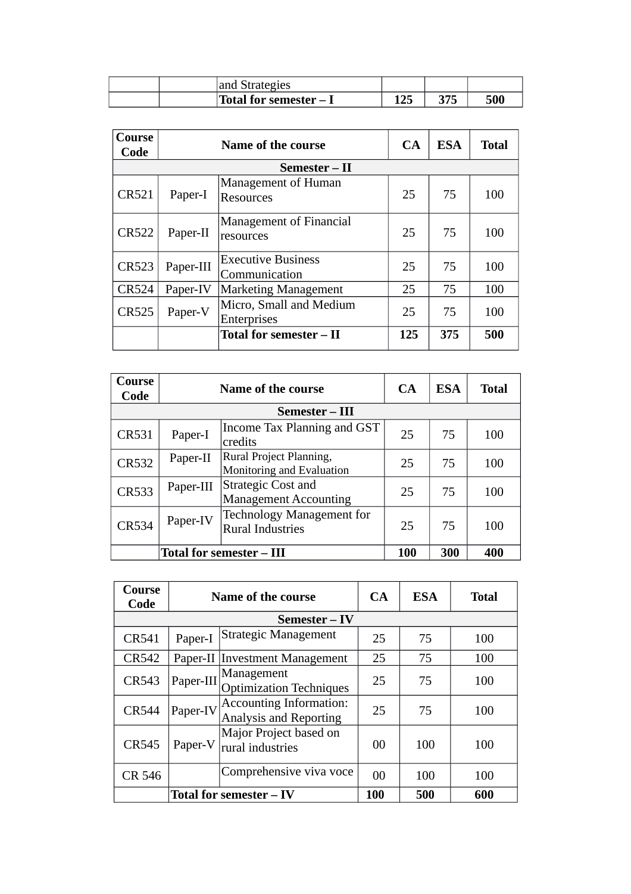|  | and Strategies         |          |     |     |
|--|------------------------|----------|-----|-----|
|  | Total for semester – I | .<br>⊥∠J | ∩−− | 500 |

| Course<br>Code | Name of the course |                                               | CA  | <b>ESA</b> | <b>Total</b> |
|----------------|--------------------|-----------------------------------------------|-----|------------|--------------|
|                |                    | Semester – II                                 |     |            |              |
| <b>CR521</b>   | Paper-I            | Management of Human<br><b>Resources</b>       | 25  | 75         | 100          |
| <b>CR522</b>   | Paper-II           | Management of Financial<br>resources          | 25  | 75         | 100          |
| <b>CR523</b>   | Paper-III          | <b>Executive Business</b><br>Communication    | 25  | 75         | 100          |
| CR524          | Paper-IV           | <b>Marketing Management</b>                   | 25  | 75         | 100          |
| <b>CR525</b>   | Paper-V            | Micro, Small and Medium<br><b>Enterprises</b> | 25  | 75         | 100          |
|                |                    | Total for semester – II                       | 125 | 375        | 500          |

| Course<br>Code | Name of the course |                                                             | CA         | <b>ESA</b> | Total |
|----------------|--------------------|-------------------------------------------------------------|------------|------------|-------|
|                |                    | Semester – III                                              |            |            |       |
| CR531          | Paper-I            | Income Tax Planning and GST<br>credits                      | 25         | 75         | 100   |
| <b>CR532</b>   | Paper-II           | Rural Project Planning,<br>Monitoring and Evaluation        | 25         | 75         | 100   |
| <b>CR533</b>   | Paper-III          | <b>Strategic Cost and</b><br><b>Management Accounting</b>   | 25         | 75         | 100   |
| <b>CR534</b>   | Paper-IV           | <b>Technology Management for</b><br><b>Rural Industries</b> | 25         | 75         | 100   |
|                |                    | <b>Total for semester – III</b>                             | <b>100</b> | 300        | 400   |

| Course<br>Code                 | Name of the course |                                                                 | CA             | <b>ESA</b> | <b>Total</b> |
|--------------------------------|--------------------|-----------------------------------------------------------------|----------------|------------|--------------|
|                                |                    | Semester – IV                                                   |                |            |              |
| CR541                          | Paper-I            | <b>Strategic Management</b>                                     | 25             | 75         | 100          |
| <b>CR542</b>                   |                    | Paper-II Investment Management                                  | 25             | 75         | 100          |
| <b>CR543</b>                   | Paper-III          | Management<br><b>Optimization Techniques</b>                    | 25             | 75         | 100          |
| <b>CR544</b>                   | Paper-IV           | <b>Accounting Information:</b><br><b>Analysis and Reporting</b> | 25             | 75         | 100          |
| <b>CR545</b>                   | Paper-V            | Major Project based on<br>rural industries                      | 00             | 100        | 100          |
| <b>CR 546</b>                  |                    | Comprehensive viva voce                                         | 0 <sub>0</sub> | 100        | 100          |
| <b>Total for semester – IV</b> |                    |                                                                 | 100            | 500        | 600          |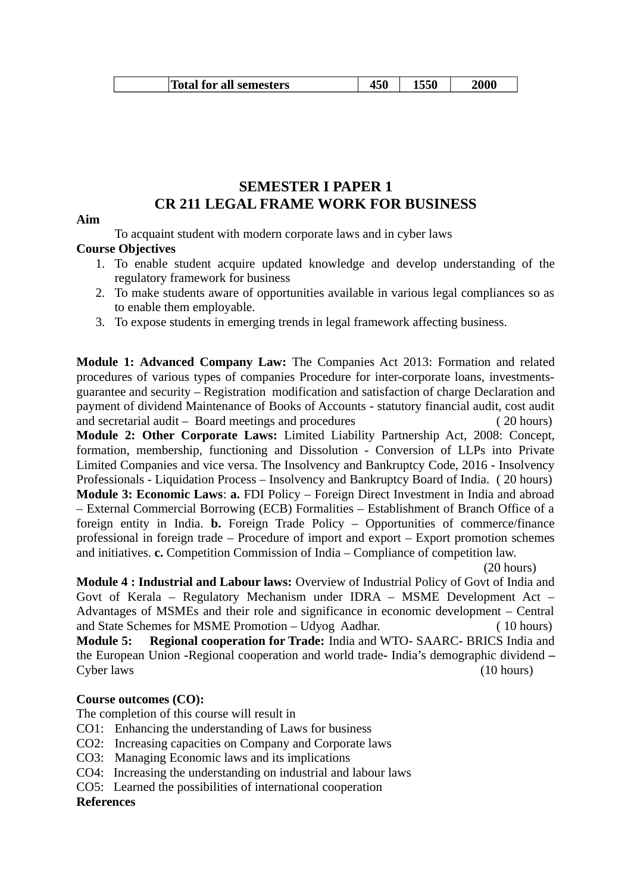| Total for all semesters ا | יוט |  | 2000 |
|---------------------------|-----|--|------|
|---------------------------|-----|--|------|

### **SEMESTER I PAPER 1 CR 211 LEGAL FRAME WORK FOR BUSINESS**

### **Aim**

To acquaint student with modern corporate laws and in cyber laws

### **Course Objectives**

- 1. To enable student acquire updated knowledge and develop understanding of the regulatory framework for business
- 2. To make students aware of opportunities available in various legal compliances so as to enable them employable.
- 3. To expose students in emerging trends in legal framework affecting business.

**Module 1: Advanced Company Law:** The Companies Act 2013: Formation and related procedures of various types of companies Procedure for inter-corporate loans, investmentsguarantee and security – Registration modification and satisfaction of charge Declaration and payment of dividend Maintenance of Books of Accounts - statutory financial audit, cost audit and secretarial audit – Board meetings and procedures (20 hours)

**Module 2: Other Corporate Laws:** Limited Liability Partnership Act, 2008: Concept, formation, membership, functioning and Dissolution - Conversion of LLPs into Private Limited Companies and vice versa. The Insolvency and Bankruptcy Code, 2016 - Insolvency Professionals - Liquidation Process – Insolvency and Bankruptcy Board of India. ( 20 hours) **Module 3: Economic Laws**: **a.** FDI Policy – Foreign Direct Investment in India and abroad – External Commercial Borrowing (ECB) Formalities – Establishment of Branch Office of a foreign entity in India. **b.** Foreign Trade Policy – Opportunities of commerce/finance professional in foreign trade – Procedure of import and export – Export promotion schemes and initiatives. **c.** Competition Commission of India – Compliance of competition law.

 (20 hours) **Module 4 : Industrial and Labour laws:** Overview of Industrial Policy of Govt of India and Govt of Kerala – Regulatory Mechanism under IDRA – MSME Development Act – Advantages of MSMEs and their role and significance in economic development – Central and State Schemes for MSME Promotion – Udyog Aadhar. ( 10 hours)

**Module 5: Regional cooperation for Trade:** India and WTO- SAARC- BRICS India and the European Union **-**Regional cooperation and world trade**-** India's demographic dividend **–** Cyber laws (10 hours)

### **Course outcomes (CO):**

The completion of this course will result in

- CO1: Enhancing the understanding of Laws for business
- CO2: Increasing capacities on Company and Corporate laws
- CO3: Managing Economic laws and its implications
- CO4: Increasing the understanding on industrial and labour laws
- CO5: Learned the possibilities of international cooperation

### **References**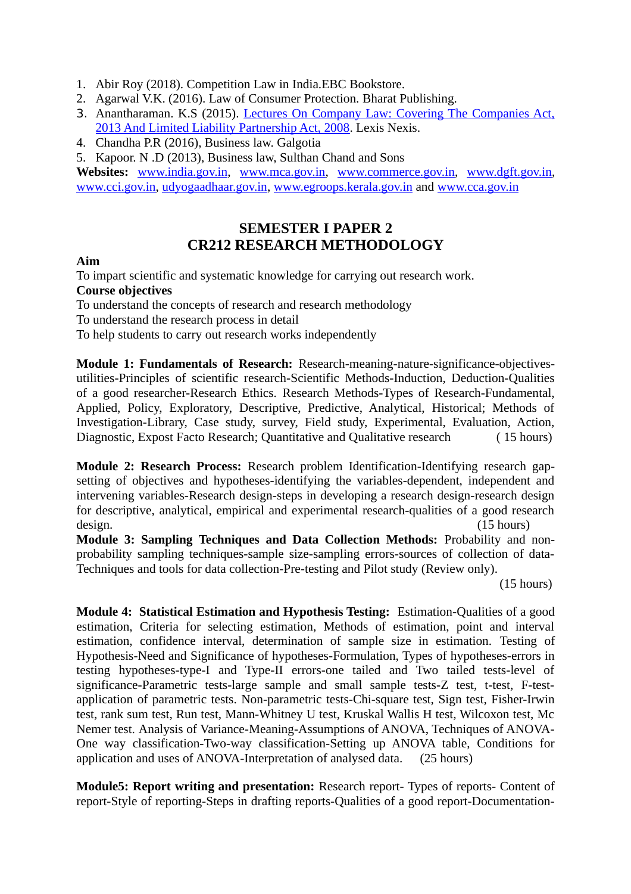- 1. Abir Roy (2018). Competition Law in India.EBC Bookstore.
- 2. Agarwal V.K. (2016). Law of Consumer Protection. Bharat Publishing.
- 3. Anantharaman. K.S (2015). [Lectures On Company Law: Covering The Companies Act,](https://www.amazon.in/Lectures-Company-Law-Companies-Partnership/dp/9351434060/ref=sr_1_1?dchild=1&qid=1586589551&refinements=p_27%3AK.S.+Anantharaman&s=books&sr=1-1) [2013 And Limited Liability Partnership Act, 2008.](https://www.amazon.in/Lectures-Company-Law-Companies-Partnership/dp/9351434060/ref=sr_1_1?dchild=1&qid=1586589551&refinements=p_27%3AK.S.+Anantharaman&s=books&sr=1-1) Lexis Nexis.
- 4. Chandha P.R (2016), Business law. Galgotia
- 5. Kapoor. N .D (2013), Business law, Sulthan Chand and Sons

**Websites:** [www.india.gov.in,](http://www.india.gov.in/) [www.mca.gov.in,](http://www.mca.gov.in/) [www.commerce.gov.in,](http://www.commerce.gov.in/) [www.dgft.gov.in,](http://www.dgft.gov.in/) [www.cci.gov.in,](http://www.cci.gov.in/) [udyogaadhaar.gov.in,](http://udyogaadhaar.gov.in/) [www.egroops.kerala.gov.in](http://www.egroops.kerala.gov.in/) and [www.cca.gov.in](http://www.cca.gov.in/)

### **SEMESTER I PAPER 2 CR212 RESEARCH METHODOLOGY**

### **Aim**

To impart scientific and systematic knowledge for carrying out research work. **Course objectives**

To understand the concepts of research and research methodology

To understand the research process in detail

To help students to carry out research works independently

**Module 1: Fundamentals of Research:** Research-meaning-nature-significance-objectivesutilities-Principles of scientific research-Scientific Methods-Induction, Deduction-Qualities of a good researcher-Research Ethics. Research Methods-Types of Research-Fundamental, Applied, Policy, Exploratory, Descriptive, Predictive, Analytical, Historical; Methods of Investigation-Library, Case study, survey, Field study, Experimental, Evaluation, Action, Diagnostic, Expost Facto Research; Quantitative and Qualitative research ( 15 hours)

**Module 2: Research Process:** Research problem Identification-Identifying research gapsetting of objectives and hypotheses-identifying the variables-dependent, independent and intervening variables-Research design-steps in developing a research design-research design for descriptive, analytical, empirical and experimental research-qualities of a good research design. (15 hours)

**Module 3: Sampling Techniques and Data Collection Methods:** Probability and nonprobability sampling techniques-sample size-sampling errors-sources of collection of data-Techniques and tools for data collection-Pre-testing and Pilot study (Review only).

(15 hours)

**Module 4: Statistical Estimation and Hypothesis Testing:** Estimation-Qualities of a good estimation, Criteria for selecting estimation, Methods of estimation, point and interval estimation, confidence interval, determination of sample size in estimation. Testing of Hypothesis-Need and Significance of hypotheses-Formulation, Types of hypotheses-errors in testing hypotheses-type-I and Type-II errors-one tailed and Two tailed tests-level of significance-Parametric tests-large sample and small sample tests-Z test, t-test, F-testapplication of parametric tests. Non-parametric tests-Chi-square test, Sign test, Fisher-Irwin test, rank sum test, Run test, Mann-Whitney U test, Kruskal Wallis H test, Wilcoxon test, Mc Nemer test. Analysis of Variance-Meaning-Assumptions of ANOVA, Techniques of ANOVA-One way classification-Two-way classification-Setting up ANOVA table, Conditions for application and uses of ANOVA-Interpretation of analysed data. (25 hours)

**Module5: Report writing and presentation:** Research report- Types of reports- Content of report-Style of reporting-Steps in drafting reports-Qualities of a good report-Documentation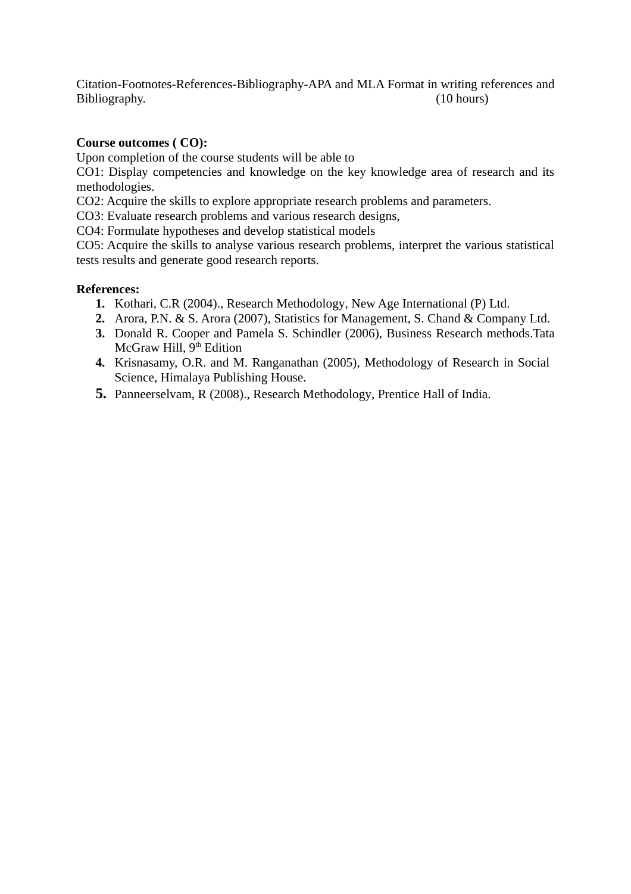Citation-Footnotes-References-Bibliography-APA and MLA Format in writing references and Bibliography. (10 hours)

### **Course outcomes ( CO):**

Upon completion of the course students will be able to

CO1: Display competencies and knowledge on the key knowledge area of research and its methodologies.

CO2: Acquire the skills to explore appropriate research problems and parameters.

CO3: Evaluate research problems and various research designs,

CO4: Formulate hypotheses and develop statistical models

CO5: Acquire the skills to analyse various research problems, interpret the various statistical tests results and generate good research reports.

### **References:**

- **1.** Kothari, C.R (2004)., Research Methodology, New Age International (P) Ltd.
- **2.** Arora, P.N. & S. Arora (2007), Statistics for Management, S. Chand & Company Ltd.
- **3.** Donald R. Cooper and Pamela S. Schindler (2006), Business Research methods.Tata McGraw Hill,  $9<sup>th</sup>$  Edition
- **4.** Krisnasamy, O.R. and M. Ranganathan (2005), Methodology of Research in Social Science, Himalaya Publishing House.
- **5.** Panneerselvam, R (2008)., Research Methodology, Prentice Hall of India.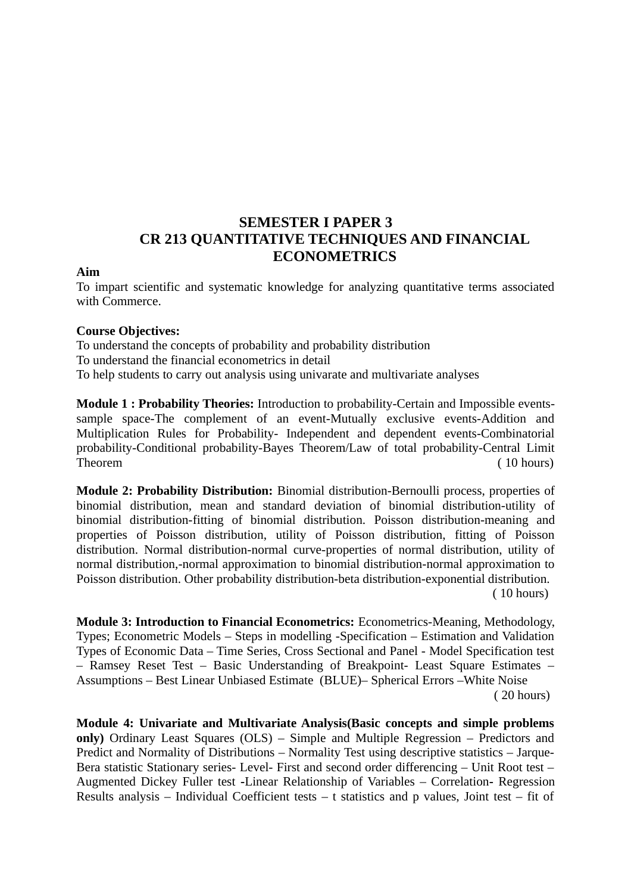## **SEMESTER I PAPER 3 CR 213 QUANTITATIVE TECHNIQUES AND FINANCIAL ECONOMETRICS**

### **Aim**

To impart scientific and systematic knowledge for analyzing quantitative terms associated with Commerce.

### **Course Objectives:**

To understand the concepts of probability and probability distribution To understand the financial econometrics in detail To help students to carry out analysis using univarate and multivariate analyses

**Module 1 : Probability Theories:** Introduction to probability-Certain and Impossible eventssample space-The complement of an event-Mutually exclusive events-Addition and Multiplication Rules for Probability- Independent and dependent events-Combinatorial probability-Conditional probability-Bayes Theorem/Law of total probability-Central Limit Theorem (10 hours)

**Module 2: Probability Distribution:** Binomial distribution-Bernoulli process, properties of binomial distribution, mean and standard deviation of binomial distribution-utility of binomial distribution-fitting of binomial distribution. Poisson distribution-meaning and properties of Poisson distribution, utility of Poisson distribution, fitting of Poisson distribution. Normal distribution-normal curve-properties of normal distribution, utility of normal distribution,-normal approximation to binomial distribution-normal approximation to Poisson distribution. Other probability distribution-beta distribution-exponential distribution. ( 10 hours)

**Module 3: Introduction to Financial Econometrics:** Econometrics-Meaning, Methodology, Types; Econometric Models – Steps in modelling -Specification – Estimation and Validation Types of Economic Data – Time Series, Cross Sectional and Panel - Model Specification test – Ramsey Reset Test – Basic Understanding of Breakpoint- Least Square Estimates – Assumptions – Best Linear Unbiased Estimate (BLUE)– Spherical Errors –White Noise ( 20 hours)

**Module 4: Univariate and Multivariate Analysis(Basic concepts and simple problems only)** Ordinary Least Squares (OLS) – Simple and Multiple Regression – Predictors and Predict and Normality of Distributions – Normality Test using descriptive statistics – Jarque-Bera statistic Stationary series- Level- First and second order differencing – Unit Root test – Augmented Dickey Fuller test **-**Linear Relationship of Variables – Correlation**-** Regression Results analysis – Individual Coefficient tests – t statistics and p values, Joint test – fit of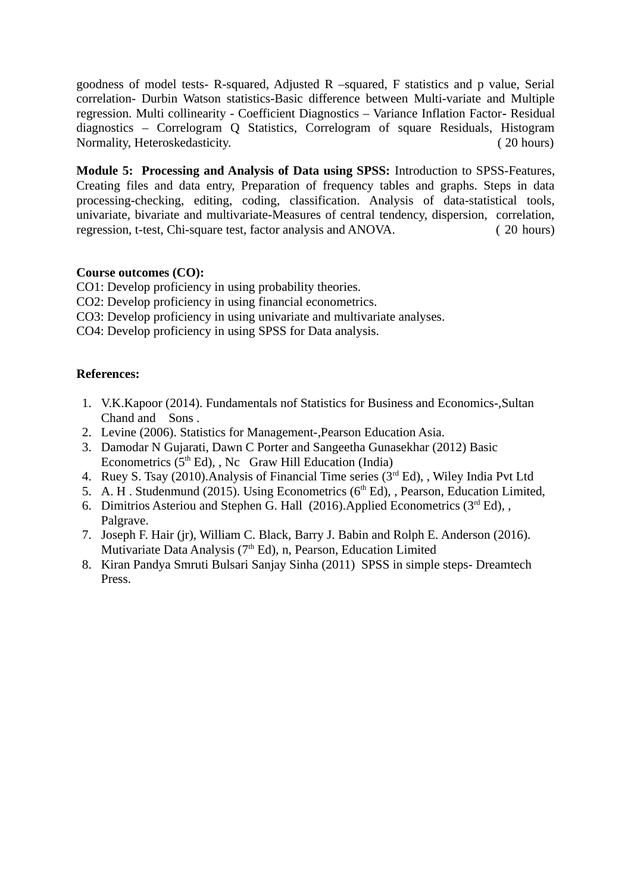goodness of model tests- R-squared, Adjusted R –squared, F statistics and p value, Serial correlation- Durbin Watson statistics-Basic difference between Multi-variate and Multiple regression. Multi collinearity - Coefficient Diagnostics – Variance Inflation Factor**-** Residual diagnostics – Correlogram Q Statistics, Correlogram of square Residuals, Histogram Normality, Heteroskedasticity. ( 20 hours)

**Module 5: Processing and Analysis of Data using SPSS:** Introduction to SPSS-Features, Creating files and data entry, Preparation of frequency tables and graphs. Steps in data processing-checking, editing, coding, classification. Analysis of data-statistical tools, univariate, bivariate and multivariate-Measures of central tendency, dispersion, correlation, regression, t-test, Chi-square test, factor analysis and ANOVA. ( 20 hours)

### **Course outcomes (CO):**

CO1: Develop proficiency in using probability theories.

- CO2: Develop proficiency in using financial econometrics.
- CO3: Develop proficiency in using univariate and multivariate analyses.
- CO4: Develop proficiency in using SPSS for Data analysis.

### **References:**

- 1. V.K.Kapoor (2014). Fundamentals nof Statistics for Business and Economics-,Sultan Chand and Sons .
- 2. Levine (2006). Statistics for Management-,Pearson Education Asia.
- 3. Damodar N Gujarati, Dawn C Porter and Sangeetha Gunasekhar (2012) Basic Econometrics  $(5<sup>th</sup> Ed)$ , , Nc Graw Hill Education (India)
- 4. Ruey S. Tsay (2010). Analysis of Financial Time series ( $3<sup>rd</sup> Ed$ ), , Wiley India Pvt Ltd
- 5. A. H. Studenmund (2015). Using Econometrics ( $6<sup>th</sup> Ed$ ), , Pearson, Education Limited,
- 6. Dimitrios Asteriou and Stephen G. Hall (2016). Applied Econometrics ( $3<sup>rd</sup> Ed$ ), , Palgrave.
- 7. Joseph F. Hair (jr), William C. Black, Barry J. Babin and Rolph E. Anderson (2016). Mutivariate Data Analysis (7<sup>th</sup> Ed), n, Pearson, Education Limited
- 8. Kiran Pandya Smruti Bulsari Sanjay Sinha (2011) SPSS in simple steps- Dreamtech Press.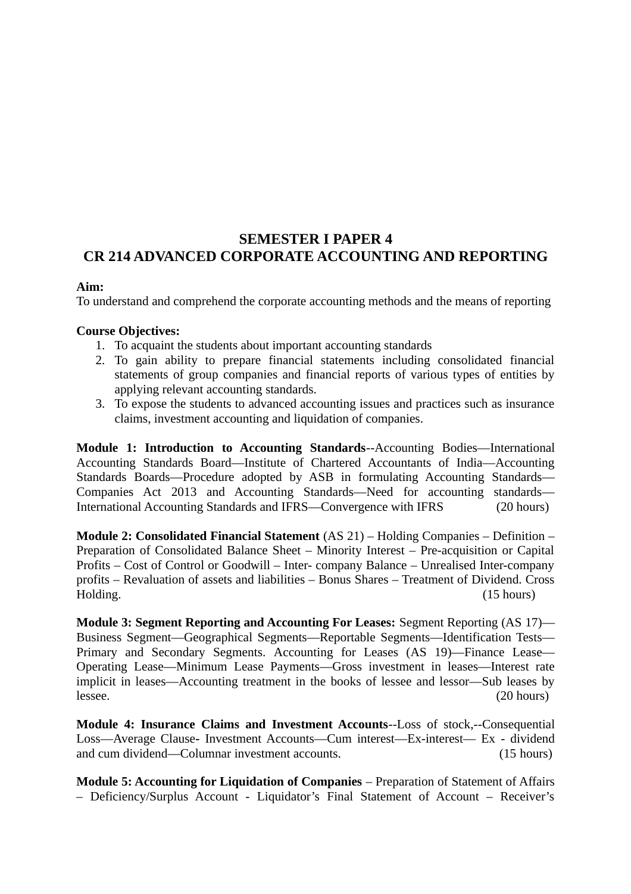## **SEMESTER I PAPER 4 CR 214 ADVANCED CORPORATE ACCOUNTING AND REPORTING**

### **Aim:**

To understand and comprehend the corporate accounting methods and the means of reporting

### **Course Objectives:**

- 1. To acquaint the students about important accounting standards
- 2. To gain ability to prepare financial statements including consolidated financial statements of group companies and financial reports of various types of entities by applying relevant accounting standards.
- 3. To expose the students to advanced accounting issues and practices such as insurance claims, investment accounting and liquidation of companies.

**Module 1: Introduction to Accounting Standards**--Accounting Bodies—International Accounting Standards Board—Institute of Chartered Accountants of India—Accounting Standards Boards—Procedure adopted by ASB in formulating Accounting Standards— Companies Act 2013 and Accounting Standards—Need for accounting standards— International Accounting Standards and IFRS—Convergence with IFRS (20 hours)

**Module 2: Consolidated Financial Statement** (AS 21) – Holding Companies – Definition – Preparation of Consolidated Balance Sheet – Minority Interest – Pre-acquisition or Capital Profits – Cost of Control or Goodwill – Inter- company Balance – Unrealised Inter-company profits – Revaluation of assets and liabilities – Bonus Shares – Treatment of Dividend. Cross Holding. (15 hours)

**Module 3: Segment Reporting and Accounting For Leases:** Segment Reporting (AS 17)— Business Segment—Geographical Segments—Reportable Segments—Identification Tests— Primary and Secondary Segments. Accounting for Leases (AS 19)—Finance Lease— Operating Lease—Minimum Lease Payments—Gross investment in leases—Interest rate implicit in leases—Accounting treatment in the books of lessee and lessor—Sub leases by lessee. (20 hours)

**Module 4: Insurance Claims and Investment Accounts**--Loss of stock,--Consequential Loss—Average Clause**-** Investment Accounts—Cum interest—Ex-interest— Ex - dividend and cum dividend—Columnar investment accounts. (15 hours)

**Module 5: Accounting for Liquidation of Companies** – Preparation of Statement of Affairs – Deficiency/Surplus Account - Liquidator's Final Statement of Account – Receiver's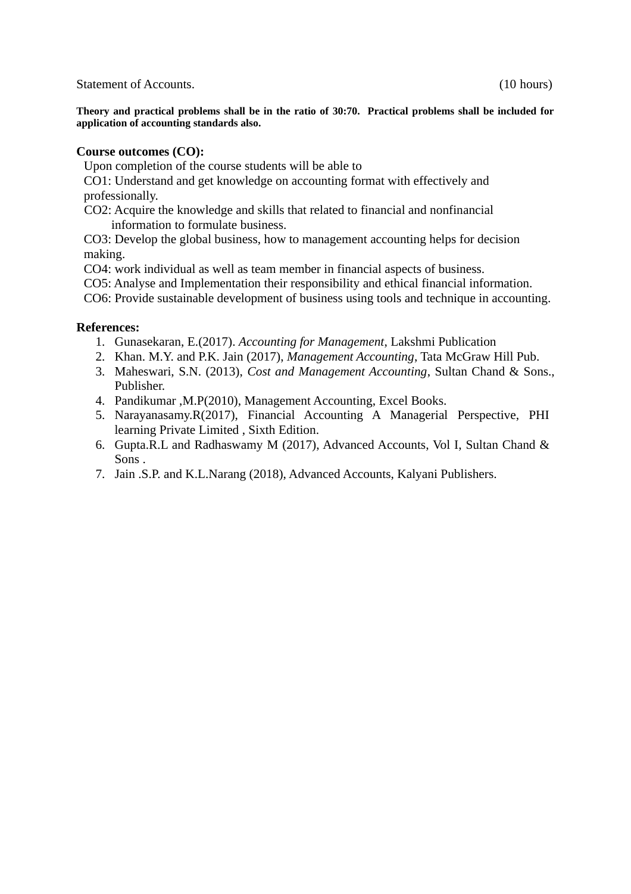Statement of Accounts. (10 hours)

**Theory and practical problems shall be in the ratio of 30:70. Practical problems shall be included for application of accounting standards also.**

### **Course outcomes (CO):**

Upon completion of the course students will be able to

CO1: Understand and get knowledge on accounting format with effectively and professionally.

CO2: Acquire the knowledge and skills that related to financial and nonfinancial information to formulate business.

CO3: Develop the global business, how to management accounting helps for decision making.

CO4: work individual as well as team member in financial aspects of business.

CO5: Analyse and Implementation their responsibility and ethical financial information.

CO6: Provide sustainable development of business using tools and technique in accounting.

### **References:**

- 1. Gunasekaran, E.(2017). *Accounting for Management*, Lakshmi Publication
- 2. Khan. M.Y. and P.K. Jain (2017), *Management Accounting*, Tata McGraw Hill Pub.
- 3. Maheswari, S.N. (2013), *Cost and Management Accounting*, Sultan Chand & Sons., Publisher.
- 4. Pandikumar ,M.P(2010), Management Accounting, Excel Books.
- 5. Narayanasamy.R(2017), Financial Accounting A Managerial Perspective, PHI learning Private Limited , Sixth Edition.
- 6. Gupta.R.L and Radhaswamy M (2017), Advanced Accounts, Vol I, Sultan Chand & Sons .
- 7. Jain .S.P. and K.L.Narang (2018), Advanced Accounts, Kalyani Publishers.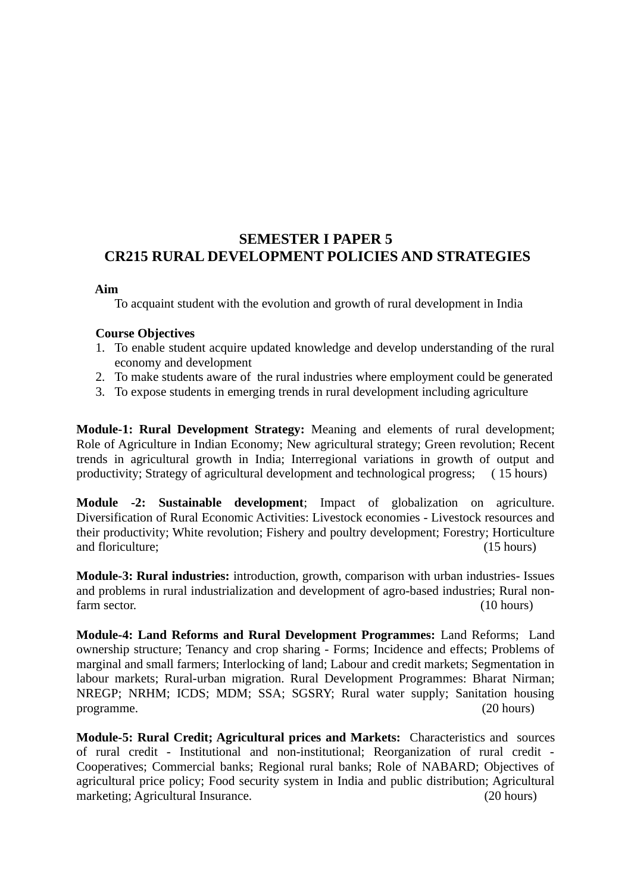## **SEMESTER I PAPER 5 CR215 RURAL DEVELOPMENT POLICIES AND STRATEGIES**

### **Aim**

To acquaint student with the evolution and growth of rural development in India

### **Course Objectives**

- 1. To enable student acquire updated knowledge and develop understanding of the rural economy and development
- 2. To make students aware of the rural industries where employment could be generated
- 3. To expose students in emerging trends in rural development including agriculture

**Module-1: Rural Development Strategy:** Meaning and elements of rural development; Role of Agriculture in Indian Economy; New agricultural strategy; Green revolution; Recent trends in agricultural growth in India; Interregional variations in growth of output and productivity; Strategy of agricultural development and technological progress; ( 15 hours)

**Module -2: Sustainable development**; Impact of globalization on agriculture. Diversification of Rural Economic Activities: Livestock economies - Livestock resources and their productivity; White revolution; Fishery and poultry development; Forestry; Horticulture and floriculture; (15 hours)

**Module-3: Rural industries:** introduction, growth, comparison with urban industries- Issues and problems in rural industrialization and development of agro-based industries; Rural nonfarm sector. (10 hours) (10 hours)

**Module-4: Land Reforms and Rural Development Programmes:** Land Reforms; Land ownership structure; Tenancy and crop sharing - Forms; Incidence and effects; Problems of marginal and small farmers; Interlocking of land; Labour and credit markets; Segmentation in labour markets; Rural-urban migration. Rural Development Programmes: Bharat Nirman; NREGP; NRHM; ICDS; MDM; SSA; SGSRY; Rural water supply; Sanitation housing programme. (20 hours)

**Module-5: Rural Credit; Agricultural prices and Markets:** Characteristics and sources of rural credit - Institutional and non-institutional; Reorganization of rural credit - Cooperatives; Commercial banks; Regional rural banks; Role of NABARD; Objectives of agricultural price policy; Food security system in India and public distribution; Agricultural marketing; Agricultural Insurance. (20 hours)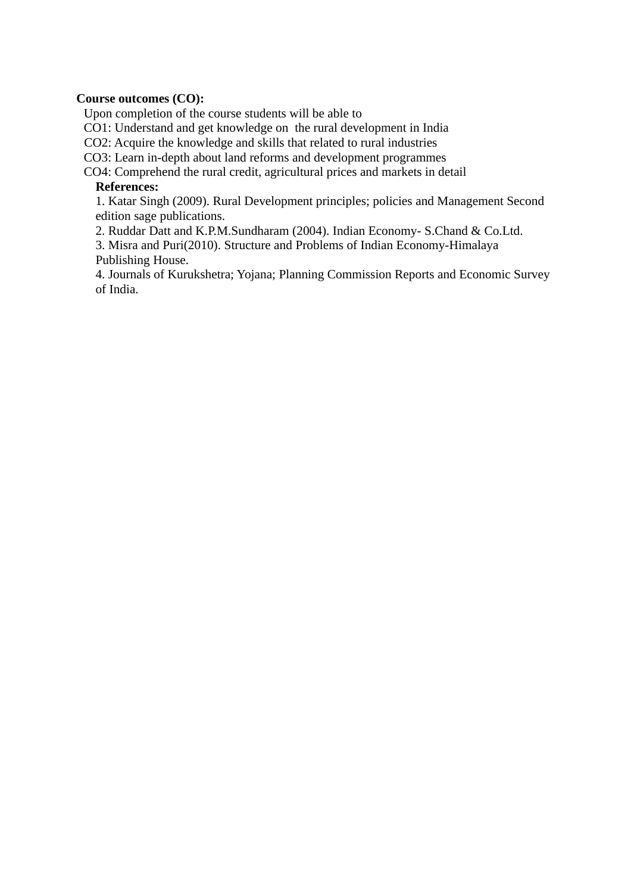### **Course outcomes (CO):**

Upon completion of the course students will be able to

CO1: Understand and get knowledge on the rural development in India

CO2: Acquire the knowledge and skills that related to rural industries

CO3: Learn in-depth about land reforms and development programmes

CO4: Comprehend the rural credit, agricultural prices and markets in detail

### **References:**

1. Katar Singh (2009). Rural Development principles; policies and Management Second edition sage publications.

2. Ruddar Datt and K.P.M.Sundharam (2004). Indian Economy- S.Chand & Co.Ltd.

3. Misra and Puri(2010). Structure and Problems of Indian Economy-Himalaya Publishing House.

4. Journals of Kurukshetra; Yojana; Planning Commission Reports and Economic Survey of India.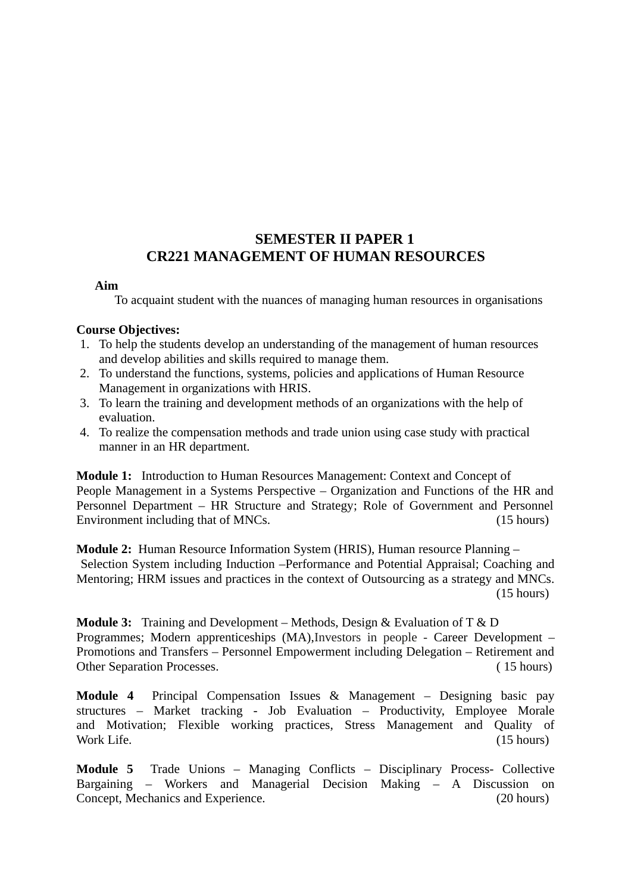## **SEMESTER II PAPER 1 CR221 MANAGEMENT OF HUMAN RESOURCES**

### **Aim**

To acquaint student with the nuances of managing human resources in organisations

### **Course Objectives:**

- 1. To help the students develop an understanding of the management of human resources and develop abilities and skills required to manage them.
- 2. To understand the functions, systems, policies and applications of Human Resource Management in organizations with HRIS.
- 3. To learn the training and development methods of an organizations with the help of evaluation.
- 4. To realize the compensation methods and trade union using case study with practical manner in an HR department.

**Module 1:** Introduction to Human Resources Management: Context and Concept of People Management in a Systems Perspective – Organization and Functions of the HR and Personnel Department – HR Structure and Strategy; Role of Government and Personnel Environment including that of MNCs. (15 hours)

**Module 2:** Human Resource Information System (HRIS), Human resource Planning – Selection System including Induction –Performance and Potential Appraisal; Coaching and Mentoring; HRM issues and practices in the context of Outsourcing as a strategy and MNCs. (15 hours)

**Module 3:** Training and Development – Methods, Design & Evaluation of T & D Programmes; Modern apprenticeships (MA),Investors in people - Career Development – Promotions and Transfers – Personnel Empowerment including Delegation – Retirement and Other Separation Processes. ( 15 hours)

**Module 4** Principal Compensation Issues & Management – Designing basic pay structures – Market tracking - Job Evaluation – Productivity, Employee Morale and Motivation; Flexible working practices, Stress Management and Quality of Work Life. (15 hours)

**Module 5** Trade Unions – Managing Conflicts – Disciplinary Process- Collective Bargaining – Workers and Managerial Decision Making – A Discussion on Concept, Mechanics and Experience. (20 hours)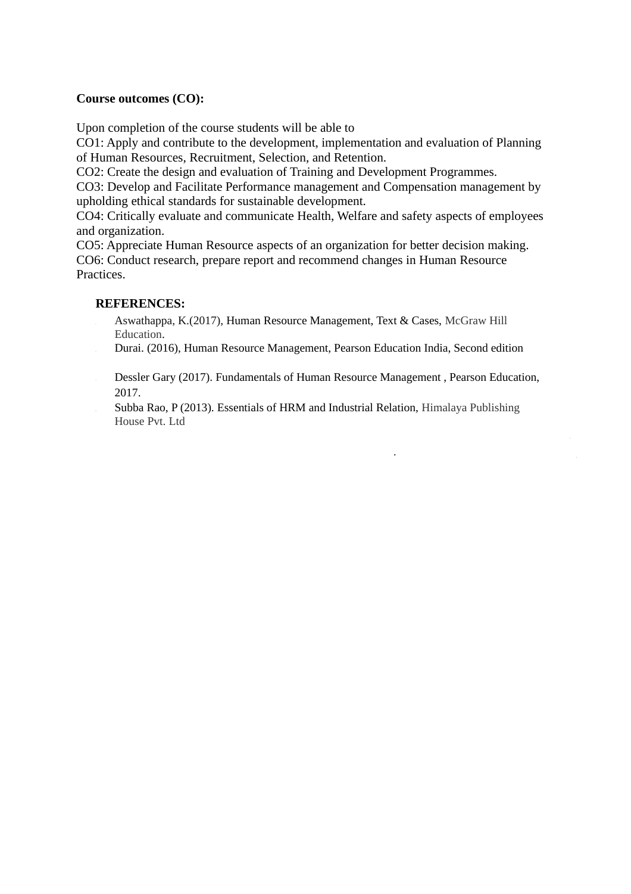### **Course outcomes (CO):**

Upon completion of the course students will be able to

CO1: Apply and contribute to the development, implementation and evaluation of Planning of Human Resources, Recruitment, Selection, and Retention.

CO2: Create the design and evaluation of Training and Development Programmes.

CO3: Develop and Facilitate Performance management and Compensation management by upholding ethical standards for sustainable development.

CO4: Critically evaluate and communicate Health, Welfare and safety aspects of employees and organization.

CO5: Appreciate Human Resource aspects of an organization for better decision making. CO6: Conduct research, prepare report and recommend changes in Human Resource Practices.

### **REFERENCES:**

- 1. Aswathappa, K.(2017), Human Resource Management, Text & Cases, McGraw Hill Education.
- 2. Durai. (2016), Human Resource Management, Pearson Education India, Second edition
- 3. Dessler Gary (2017). Fundamentals of Human Resource Management , Pearson Education, 2017.

.

Subba Rao, P (2013). Essentials of HRM and Industrial Relation, Himalaya Publishing House Pvt. Ltd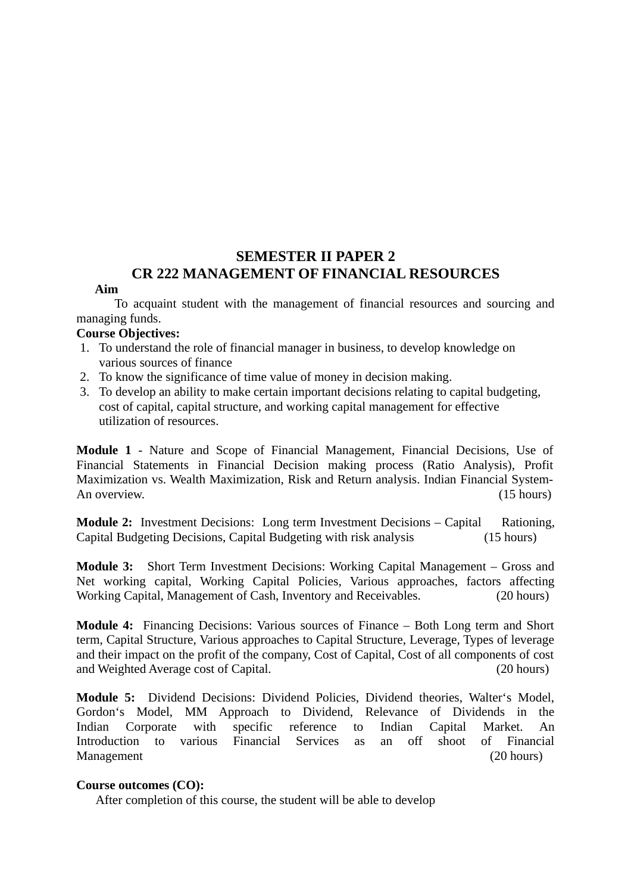## **SEMESTER II PAPER 2 CR 222 MANAGEMENT OF FINANCIAL RESOURCES**

### **Aim**

To acquaint student with the management of financial resources and sourcing and managing funds.

### **Course Objectives:**

- 1. To understand the role of financial manager in business, to develop knowledge on various sources of finance
- 2. To know the significance of time value of money in decision making.
- 3. To develop an ability to make certain important decisions relating to capital budgeting, cost of capital, capital structure, and working capital management for effective utilization of resources.

**Module 1** - Nature and Scope of Financial Management, Financial Decisions, Use of Financial Statements in Financial Decision making process (Ratio Analysis), Profit Maximization vs. Wealth Maximization, Risk and Return analysis. Indian Financial System-An overview. (15 hours)

**Module 2:** Investment Decisions: Long term Investment Decisions – Capital Rationing, Capital Budgeting Decisions, Capital Budgeting with risk analysis (15 hours)

**Module 3:** Short Term Investment Decisions: Working Capital Management – Gross and Net working capital, Working Capital Policies, Various approaches, factors affecting Working Capital, Management of Cash, Inventory and Receivables. (20 hours)

**Module 4:** Financing Decisions: Various sources of Finance – Both Long term and Short term, Capital Structure, Various approaches to Capital Structure, Leverage, Types of leverage and their impact on the profit of the company, Cost of Capital, Cost of all components of cost and Weighted Average cost of Capital. (20 hours)

**Module 5:** Dividend Decisions: Dividend Policies, Dividend theories, Walter's Model, Gordon's Model, MM Approach to Dividend, Relevance of Dividends in the Indian Corporate with specific reference to Indian Capital Market. An Introduction to various Financial Services as an off shoot of Financial Management **120 hours** (20 hours)

### **Course outcomes (CO):**

After completion of this course, the student will be able to develop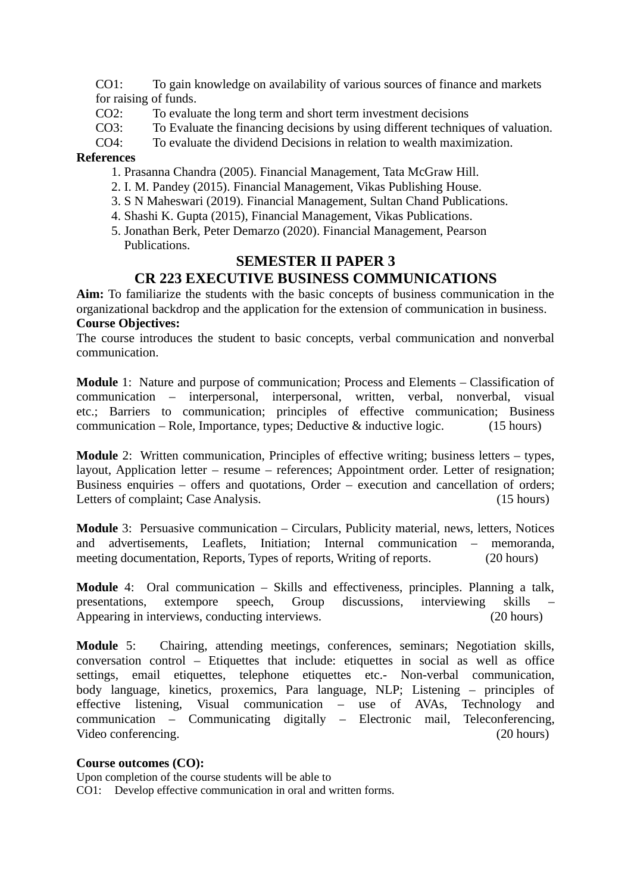CO1: To gain knowledge on availability of various sources of finance and markets for raising of funds.

- CO2: To evaluate the long term and short term investment decisions
- CO3: To Evaluate the financing decisions by using different techniques of valuation.
- CO4: To evaluate the dividend Decisions in relation to wealth maximization.

### **References**

- 1. Prasanna Chandra (2005). Financial Management, Tata McGraw Hill.
- 2. I. M. Pandey (2015). Financial Management, Vikas Publishing House.
- 3. S N Maheswari (2019). Financial Management, Sultan Chand Publications.
- 4. Shashi K. Gupta (2015), Financial Management, Vikas Publications.
- 5. Jonathan Berk, Peter Demarzo (2020). Financial Management, Pearson Publications.

## **SEMESTER II PAPER 3**

## **CR 223 EXECUTIVE BUSINESS COMMUNICATIONS**

**Aim:** To familiarize the students with the basic concepts of business communication in the organizational backdrop and the application for the extension of communication in business. **Course Objectives:**

The course introduces the student to basic concepts, verbal communication and nonverbal communication.

**Module** 1: Nature and purpose of communication; Process and Elements – Classification of communication – interpersonal, interpersonal, written, verbal, nonverbal, visual etc.; Barriers to communication; principles of effective communication; Business communication – Role, Importance, types; Deductive & inductive logic. (15 hours)

**Module** 2: Written communication, Principles of effective writing; business letters – types, layout, Application letter – resume – references; Appointment order. Letter of resignation; Business enquiries – offers and quotations, Order – execution and cancellation of orders; Letters of complaint; Case Analysis. (15 hours)

**Module** 3: Persuasive communication – Circulars, Publicity material, news, letters, Notices and advertisements, Leaflets, Initiation; Internal communication – memoranda, meeting documentation, Reports, Types of reports, Writing of reports. (20 hours)

**Module** 4: Oral communication – Skills and effectiveness, principles. Planning a talk, presentations, extempore speech, Group discussions, interviewing skills – Appearing in interviews, conducting interviews. (20 hours)

**Module** 5: Chairing, attending meetings, conferences, seminars; Negotiation skills, conversation control – Etiquettes that include: etiquettes in social as well as office settings, email etiquettes, telephone etiquettes etc.- Non-verbal communication, body language, kinetics, proxemics, Para language, NLP; Listening – principles of effective listening, Visual communication – use of AVAs, Technology and communication – Communicating digitally – Electronic mail, Teleconferencing, Video conferencing. (20 hours)

### **Course outcomes (CO):**

Upon completion of the course students will be able to CO1: Develop effective communication in oral and written forms.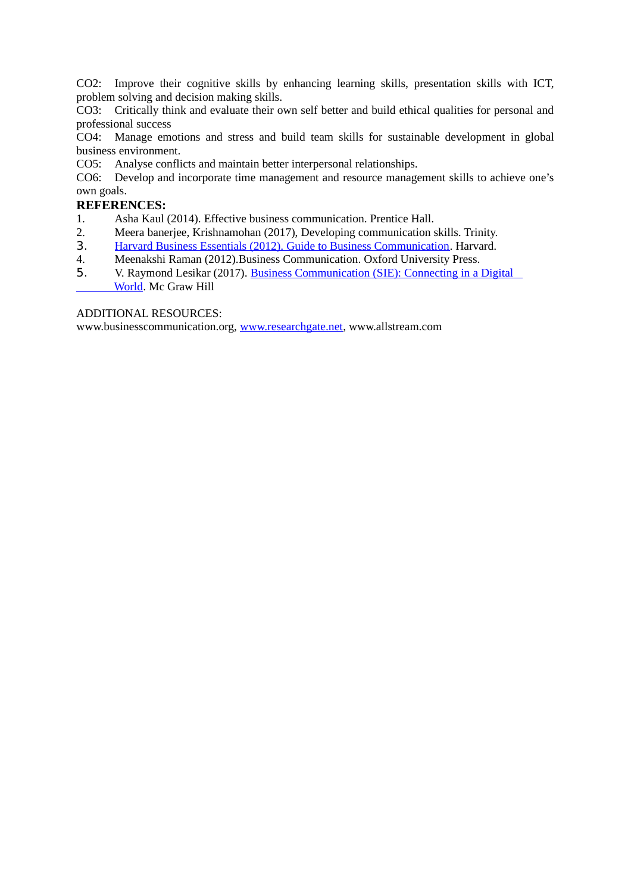CO2: Improve their cognitive skills by enhancing learning skills, presentation skills with ICT, problem solving and decision making skills.

CO3: Critically think and evaluate their own self better and build ethical qualities for personal and professional success

CO4: Manage emotions and stress and build team skills for sustainable development in global business environment.

CO5: Analyse conflicts and maintain better interpersonal relationships.

CO6: Develop and incorporate time management and resource management skills to achieve one's own goals.

### **REFERENCES:**

- 1. Asha Kaul (2014). Effective business communication. Prentice Hall.
- 2. Meera banerjee, Krishnamohan (2017), Developing communication skills. Trinity.
- 3. [Harvard Business Essentials \(2012\). Guide to Business Communication.](https://www.amazon.in/Harvard-Business-Essentials-Guide-Communication/dp/159139113X/ref=sr_1_1?crid=2IREBJ9B70ANL&dchild=1&keywords=business+communication+book&qid=1586591809&s=books&sprefix=business+communication+%2Cstripbooks%2C317&sr=1-1) Harvard.
- 4. Meenakshi Raman (2012).Business Communication. Oxford University Press.
- 5. V. Raymond Lesikar (2017). Business Communication (SIE): Connecting in a Digital  [World.](https://www.amazon.in/Business-Communication-SIE-Connecting-Digital/dp/9351342964/ref=sr_1_13?crid=2IREBJ9B70ANL&dchild=1&keywords=business+communication+book&qid=1586591809&s=books&sprefix=business+communication+%2Cstripbooks%2C317&sr=1-13) Mc Graw Hill

ADDITIONAL RESOURCES:

www.businesscommunication.org, [www.researchgate.net,](http://www.researchgate.net/) www.allstream.com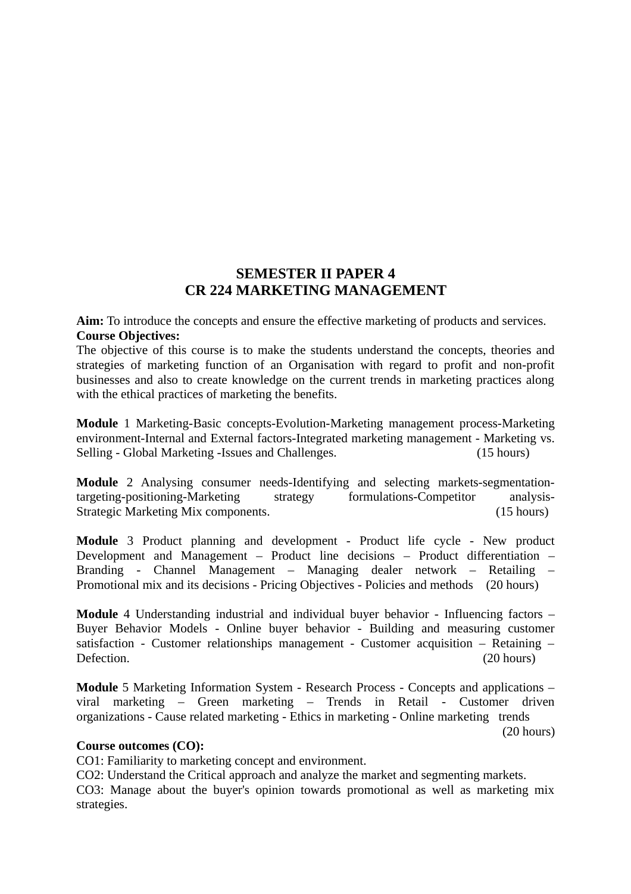### **SEMESTER II PAPER 4 CR 224 MARKETING MANAGEMENT**

**Aim:** To introduce the concepts and ensure the effective marketing of products and services. **Course Objectives:**

The objective of this course is to make the students understand the concepts, theories and strategies of marketing function of an Organisation with regard to profit and non-profit businesses and also to create knowledge on the current trends in marketing practices along with the ethical practices of marketing the benefits.

**Module** 1 Marketing-Basic concepts-Evolution-Marketing management process-Marketing environment-Internal and External factors-Integrated marketing management - Marketing vs. Selling - Global Marketing -Issues and Challenges. (15 hours)

**Module** 2 Analysing consumer needs-Identifying and selecting markets-segmentationtargeting-positioning-Marketing strategy formulations-Competitor analysis-Strategic Marketing Mix components. (15 hours)

**Module** 3 Product planning and development - Product life cycle - New product Development and Management – Product line decisions – Product differentiation – Branding - Channel Management – Managing dealer network – Retailing – Promotional mix and its decisions - Pricing Objectives - Policies and methods (20 hours)

**Module** 4 Understanding industrial and individual buyer behavior - Influencing factors – Buyer Behavior Models - Online buyer behavior - Building and measuring customer satisfaction - Customer relationships management - Customer acquisition – Retaining – Defection. (20 hours)

**Module** 5 Marketing Information System - Research Process - Concepts and applications – viral marketing – Green marketing – Trends in Retail - Customer driven organizations - Cause related marketing - Ethics in marketing - Online marketing trends (20 hours)

### **Course outcomes (CO):**

CO1: Familiarity to marketing concept and environment.

CO2: Understand the Critical approach and analyze the market and segmenting markets.

CO3: Manage about the buyer's opinion towards promotional as well as marketing mix strategies.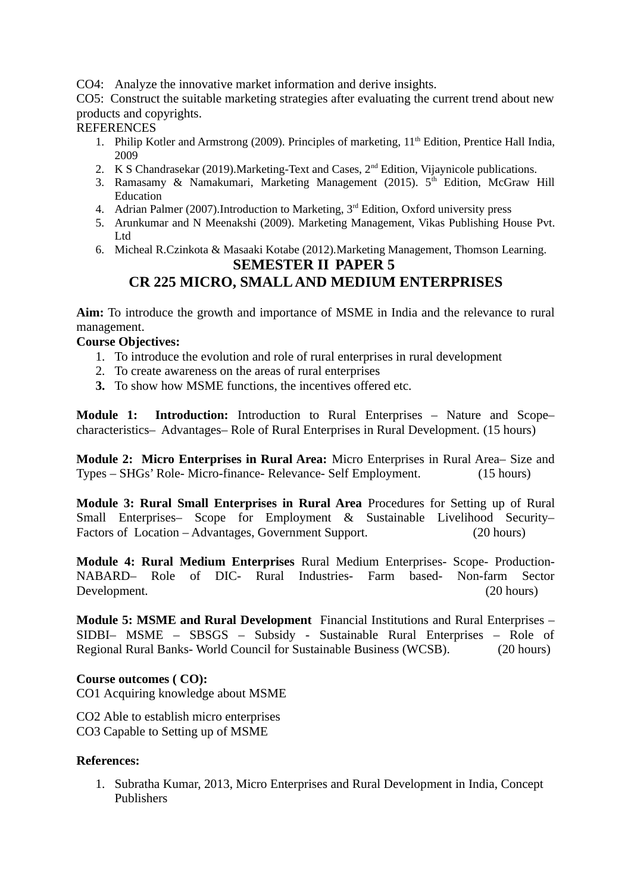CO4: Analyze the innovative market information and derive insights.

CO5: Construct the suitable marketing strategies after evaluating the current trend about new products and copyrights.

### **REFERENCES**

- 1. Philip Kotler and Armstrong (2009). Principles of marketing,  $11<sup>th</sup>$  Edition, Prentice Hall India, 2009
- 2. K S Chandrasekar (2019). Marketing-Text and Cases, 2<sup>nd</sup> Edition, Vijaynicole publications.
- 3. Ramasamy & Namakumari, Marketing Management (2015).  $5<sup>th</sup>$  Edition, McGraw Hill Education
- 4. Adrian Palmer (2007). Introduction to Marketing, 3<sup>rd</sup> Edition, Oxford university press
- 5. Arunkumar and N Meenakshi (2009). Marketing Management, Vikas Publishing House Pvt. Ltd
- 6. Micheal R.Czinkota & Masaaki Kotabe (2012).Marketing Management, Thomson Learning.

### **SEMESTER II PAPER 5**

## **CR 225 MICRO, SMALL AND MEDIUM ENTERPRISES**

**Aim:** To introduce the growth and importance of MSME in India and the relevance to rural management.

### **Course Objectives:**

- 1. To introduce the evolution and role of rural enterprises in rural development
- 2. To create awareness on the areas of rural enterprises
- **3.** To show how MSME functions, the incentives offered etc.

**Module 1: Introduction:** Introduction to Rural Enterprises – Nature and Scope– characteristics– Advantages– Role of Rural Enterprises in Rural Development. (15 hours)

**Module 2: Micro Enterprises in Rural Area:** Micro Enterprises in Rural Area– Size and Types – SHGs' Role- Micro-finance- Relevance- Self Employment. (15 hours)

**Module 3: Rural Small Enterprises in Rural Area** Procedures for Setting up of Rural Small Enterprises– Scope for Employment & Sustainable Livelihood Security– Factors of Location – Advantages, Government Support. (20 hours)

**Module 4: Rural Medium Enterprises** Rural Medium Enterprises- Scope- Production-NABARD– Role of DIC- Rural Industries- Farm based- Non-farm Sector Development. (20 hours)

**Module 5: MSME and Rural Development** Financial Institutions and Rural Enterprises – SIDBI– MSME – SBSGS – Subsidy - Sustainable Rural Enterprises – Role of Regional Rural Banks- World Council for Sustainable Business (WCSB). (20 hours)

### **Course outcomes ( CO):**

CO1 Acquiring knowledge about MSME

CO2 Able to establish micro enterprises CO3 Capable to Setting up of MSME

### **References:**

1. Subratha Kumar, 2013, Micro Enterprises and Rural Development in India, Concept Publishers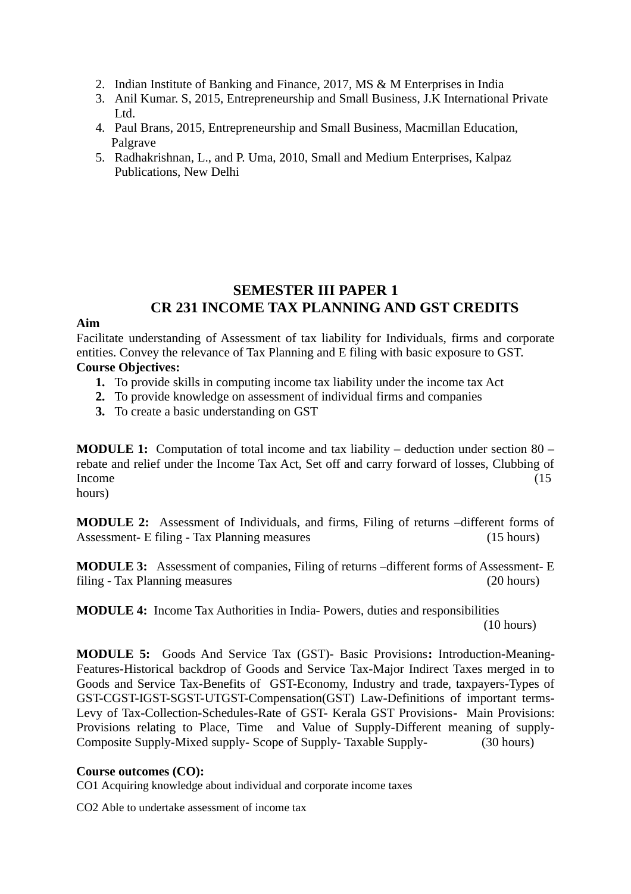- 2. Indian Institute of Banking and Finance, 2017, MS & M Enterprises in India
- 3. Anil Kumar. S, 2015, Entrepreneurship and Small Business, J.K International Private Ltd.
- 4. Paul Brans, 2015, Entrepreneurship and Small Business, Macmillan Education, Palgrave
- 5. Radhakrishnan, L., and P. Uma, 2010, Small and Medium Enterprises, Kalpaz Publications, New Delhi

## **SEMESTER III PAPER 1 CR 231 INCOME TAX PLANNING AND GST CREDITS**

### **Aim**

Facilitate understanding of Assessment of tax liability for Individuals, firms and corporate entities. Convey the relevance of Tax Planning and E filing with basic exposure to GST. **Course Objectives:**

## **1.** To provide skills in computing income tax liability under the income tax Act

- **2.** To provide knowledge on assessment of individual firms and companies
- **3.** To create a basic understanding on GST

**MODULE 1:** Computation of total income and tax liability – deduction under section 80 – rebate and relief under the Income Tax Act, Set off and carry forward of losses, Clubbing of Income (15

hours)

**MODULE 2:** Assessment of Individuals, and firms, Filing of returns –different forms of Assessment- E filing - Tax Planning measures (15 hours)

**MODULE 3:** Assessment of companies, Filing of returns –different forms of Assessment- E filing - Tax Planning measures (20 hours)

**MODULE 4:** Income Tax Authorities in India- Powers, duties and responsibilities (10 hours)

**MODULE 5:** Goods And Service Tax (GST)- Basic Provisions**:** Introduction-Meaning-Features-Historical backdrop of Goods and Service Tax-Major Indirect Taxes merged in to Goods and Service Tax-Benefits of GST-Economy, Industry and trade, taxpayers-Types of GST-CGST-IGST-SGST-UTGST-Compensation(GST) Law-Definitions of important terms-Levy of Tax-Collection-Schedules-Rate of GST- Kerala GST Provisions**-** Main Provisions: Provisions relating to Place, Time and Value of Supply-Different meaning of supply-Composite Supply-Mixed supply- Scope of Supply- Taxable Supply- (30 hours)

### **Course outcomes (CO):**

CO1 Acquiring knowledge about individual and corporate income taxes

CO2 Able to undertake assessment of income tax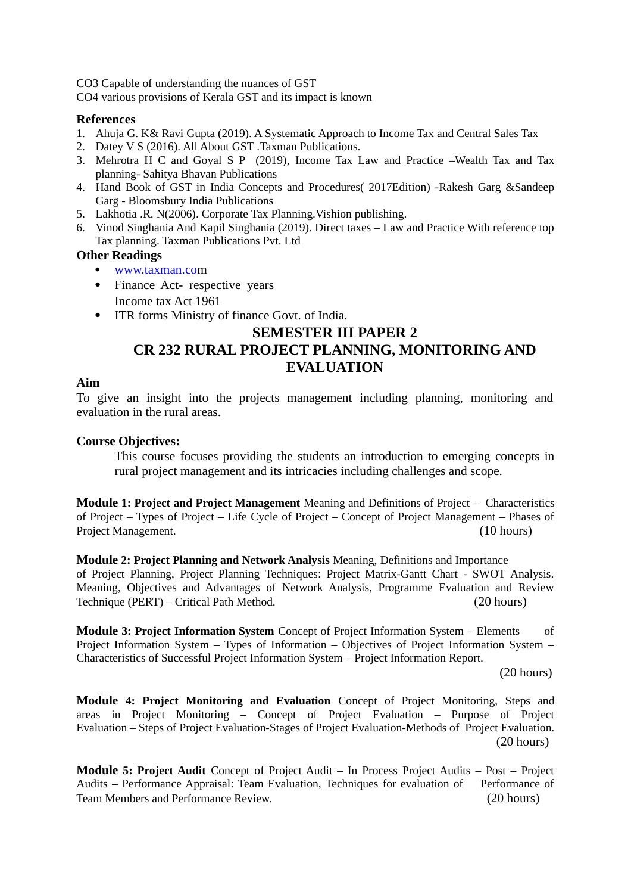CO3 Capable of understanding the nuances of GST

CO4 various provisions of Kerala GST and its impact is known

### **References**

- 1. Ahuja G. K& Ravi Gupta (2019). A Systematic Approach to Income Tax and Central Sales Tax
- 2. Datey V S (2016). All About GST .Taxman Publications.
- 3. Mehrotra H C and Goyal S P (2019)*,* Income Tax Law and Practice –Wealth Tax and Tax planning- Sahitya Bhavan Publications
- 4. Hand Book of GST in India Concepts and Procedures( 2017Edition) -Rakesh Garg &Sandeep Garg - Bloomsbury India Publications
- 5. Lakhotia .R. N(2006). Corporate Tax Planning.Vishion publishing.
- 6. Vinod Singhania And Kapil Singhania (2019). Direct taxes Law and Practice With reference top Tax planning. Taxman Publications Pvt. Ltd

### **Other Readings**

- [www.taxman.com](http://www.taxman.co/)
- Finance Act- respective years Income tax Act 1961
- ITR forms Ministry of finance Govt. of India.

## **SEMESTER III PAPER 2**

## **CR 232 RURAL PROJECT PLANNING, MONITORING AND EVALUATION**

### **Aim**

To give an insight into the projects management including planning, monitoring and evaluation in the rural areas.

### **Course Objectives:**

This course focuses providing the students an introduction to emerging concepts in rural project management and its intricacies including challenges and scope.

**Module 1: Project and Project Management** Meaning and Definitions of Project – Characteristics of Project – Types of Project – Life Cycle of Project – Concept of Project Management – Phases of Project Management. (10 hours)

**Module 2: Project Planning and Network Analysis** Meaning, Definitions and Importance of Project Planning, Project Planning Techniques: Project Matrix-Gantt Chart - SWOT Analysis. Meaning, Objectives and Advantages of Network Analysis, Programme Evaluation and Review Technique (PERT) – Critical Path Method. (20 hours)

**Module 3: Project Information System** Concept of Project Information System – Elements of Project Information System – Types of Information – Objectives of Project Information System – Characteristics of Successful Project Information System – Project Information Report.

(20 hours)

**Module 4: Project Monitoring and Evaluation** Concept of Project Monitoring, Steps and areas in Project Monitoring – Concept of Project Evaluation – Purpose of Project Evaluation – Steps of Project Evaluation-Stages of Project Evaluation-Methods of Project Evaluation. (20 hours)

**Module 5: Project Audit** Concept of Project Audit – In Process Project Audits – Post – Project Audits – Performance Appraisal: Team Evaluation, Techniques for evaluation of Performance of Team Members and Performance Review. (20 hours)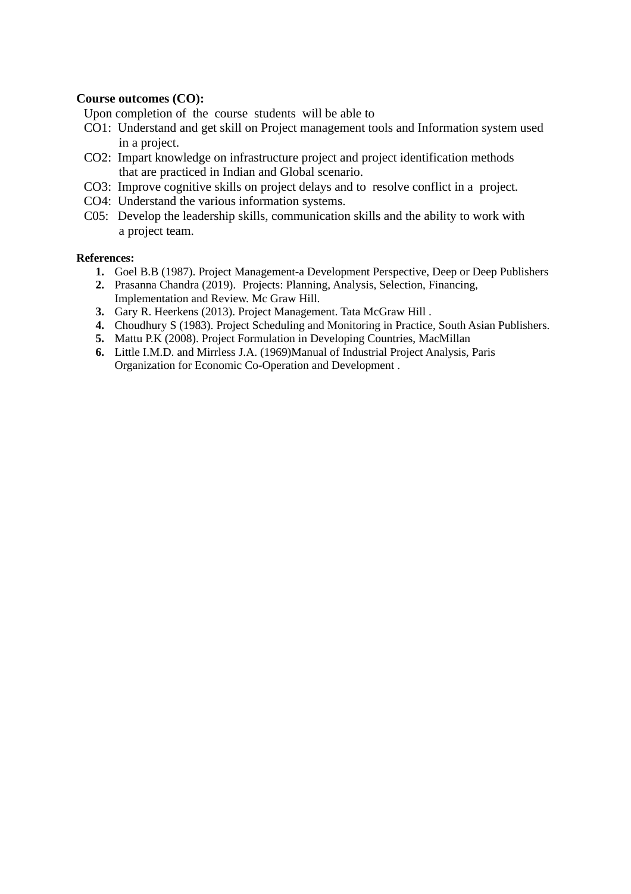### **Course outcomes (CO):**

Upon completion of the course students will be able to

- CO1: Understand and get skill on Project management tools and Information system used in a project.
- CO2: Impart knowledge on infrastructure project and project identification methods that are practiced in Indian and Global scenario.
- CO3: Improve cognitive skills on project delays and to resolve conflict in a project.
- CO4: Understand the various information systems.
- C05: Develop the leadership skills, communication skills and the ability to work with a project team.

#### **References:**

- **1.** Goel B.B (1987). Project Management-a Development Perspective, Deep or Deep Publishers
- **2.** Prasanna Chandra (2019). Projects: Planning, Analysis, Selection, Financing, Implementation and Review. Mc Graw Hill.
- **3.** Gary R. Heerkens (2013). Project Management. Tata McGraw Hill .
- **4.** Choudhury S (1983). Project Scheduling and Monitoring in Practice, South Asian Publishers.
- **5.** Mattu P.K (2008). Project Formulation in Developing Countries, MacMillan
- **6.** Little I.M.D. and Mirrless J.A. (1969)Manual of Industrial Project Analysis, Paris Organization for Economic Co-Operation and Development .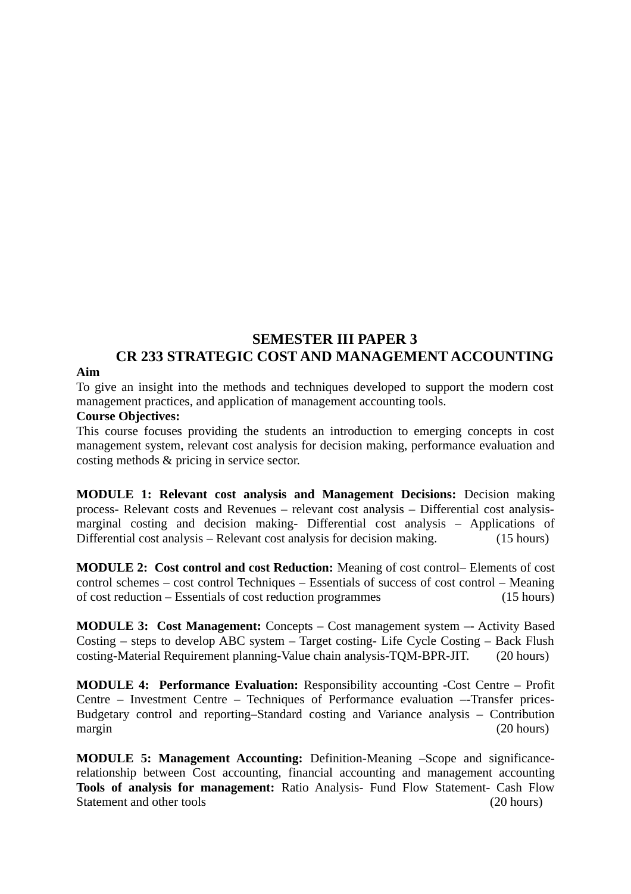## **SEMESTER III PAPER 3 CR 233 STRATEGIC COST AND MANAGEMENT ACCOUNTING**

### **Aim**

To give an insight into the methods and techniques developed to support the modern cost management practices, and application of management accounting tools.

### **Course Objectives:**

This course focuses providing the students an introduction to emerging concepts in cost management system, relevant cost analysis for decision making, performance evaluation and costing methods & pricing in service sector.

**MODULE 1: Relevant cost analysis and Management Decisions:** Decision making process- Relevant costs and Revenues – relevant cost analysis – Differential cost analysismarginal costing and decision making- Differential cost analysis – Applications of Differential cost analysis – Relevant cost analysis for decision making. (15 hours)

**MODULE 2: Cost control and cost Reduction:** Meaning of cost control– Elements of cost control schemes – cost control Techniques – Essentials of success of cost control – Meaning of cost reduction – Essentials of cost reduction programmes (15 hours)

**MODULE 3: Cost Management:** Concepts – Cost management system –- Activity Based Costing – steps to develop ABC system – Target costing- Life Cycle Costing – Back Flush costing-Material Requirement planning-Value chain analysis-TQM-BPR-JIT. (20 hours)

**MODULE 4: Performance Evaluation:** Responsibility accounting -Cost Centre – Profit Centre – Investment Centre – Techniques of Performance evaluation –-Transfer prices-Budgetary control and reporting–Standard costing and Variance analysis – Contribution margin (20 hours)

**MODULE 5: Management Accounting:** Definition-Meaning –Scope and significancerelationship between Cost accounting, financial accounting and management accounting **Tools of analysis for management:** Ratio Analysis- Fund Flow Statement- Cash Flow Statement and other tools (20 hours)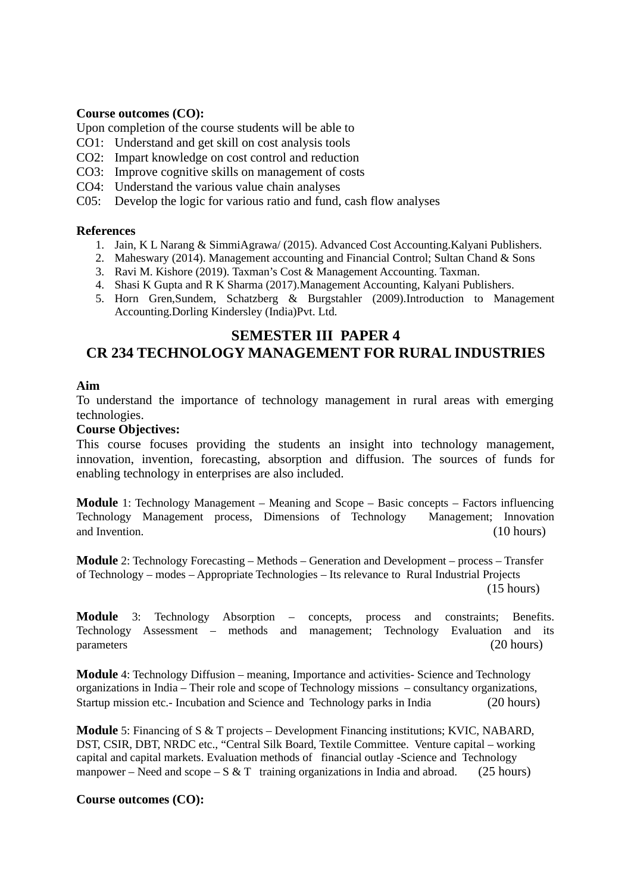### **Course outcomes (CO):**

Upon completion of the course students will be able to

- CO1: Understand and get skill on cost analysis tools
- CO2: Impart knowledge on cost control and reduction
- CO3: Improve cognitive skills on management of costs
- CO4: Understand the various value chain analyses
- C05: Develop the logic for various ratio and fund, cash flow analyses

### **References**

- 1. Jain, K L Narang & SimmiAgrawa/ (2015). Advanced Cost Accounting.Kalyani Publishers.
- 2. Maheswary (2014). Management accounting and Financial Control; Sultan Chand & Sons
- 3. Ravi M. Kishore (2019). Taxman's Cost & Management Accounting. Taxman.
- 4. Shasi K Gupta and R K Sharma (2017).Management Accounting, Kalyani Publishers.
- 5. Horn Gren,Sundem, Schatzberg & Burgstahler (2009).Introduction to Management Accounting.Dorling Kindersley (India)Pvt. Ltd.

## **SEMESTER III PAPER 4**

## **CR 234 TECHNOLOGY MANAGEMENT FOR RURAL INDUSTRIES**

### **Aim**

To understand the importance of technology management in rural areas with emerging technologies.

### **Course Objectives:**

This course focuses providing the students an insight into technology management, innovation, invention, forecasting, absorption and diffusion. The sources of funds for enabling technology in enterprises are also included.

**Module** 1: Technology Management – Meaning and Scope – Basic concepts – Factors influencing Technology Management process, Dimensions of Technology Management; Innovation and Invention. (10 hours) and Invention. (10 hours)

**Module** 2: Technology Forecasting – Methods – Generation and Development – process – Transfer of Technology – modes – Appropriate Technologies – Its relevance to Rural Industrial Projects (15 hours)

**Module** 3: Technology Absorption – concepts, process and constraints; Benefits. Technology Assessment – methods and management; Technology Evaluation and its parameters (20 hours)

**Module** 4: Technology Diffusion – meaning, Importance and activities- Science and Technology organizations in India – Their role and scope of Technology missions – consultancy organizations, Startup mission etc.- Incubation and Science and Technology parks in India (20 hours)

**Module** 5: Financing of S & T projects – Development Financing institutions; KVIC, NABARD, DST, CSIR, DBT, NRDC etc., "Central Silk Board, Textile Committee. Venture capital – working capital and capital markets. Evaluation methods of financial outlay -Science and Technology manpower – Need and scope – S & T training organizations in India and abroad. (25 hours)

### **Course outcomes (CO):**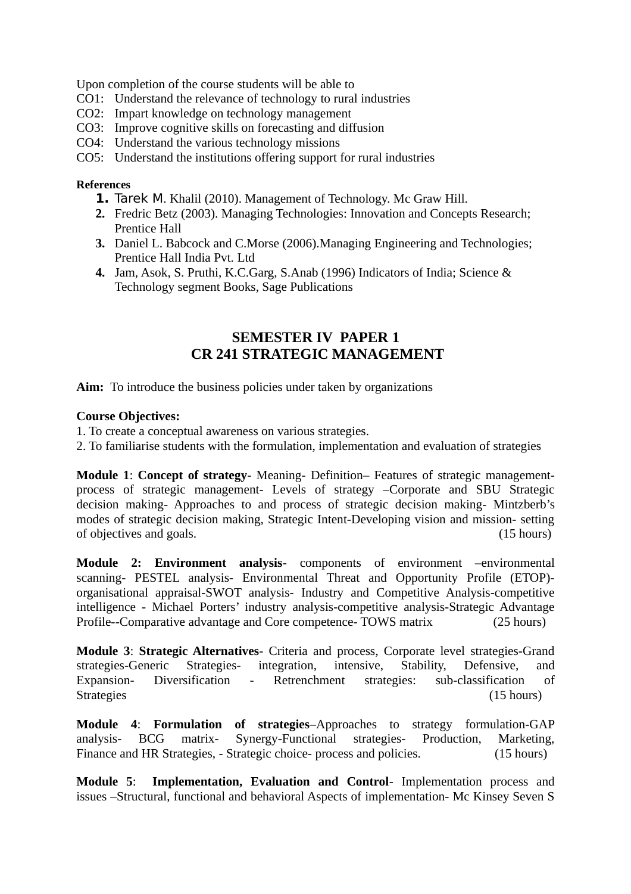Upon completion of the course students will be able to

- CO1: Understand the relevance of technology to rural industries
- CO2: Impart knowledge on technology management
- CO3: Improve cognitive skills on forecasting and diffusion
- CO4: Understand the various technology missions
- CO5: Understand the institutions offering support for rural industries

### **References**

- **1.** Tarek M. Khalil (2010). Management of Technology. Mc Graw Hill.
- **2.** Fredric Betz (2003). Managing Technologies: Innovation and Concepts Research; Prentice Hall
- **3.** Daniel L. Babcock and C.Morse (2006).Managing Engineering and Technologies; Prentice Hall India Pvt. Ltd
- **4.** Jam, Asok, S. Pruthi, K.C.Garg, S.Anab (1996) Indicators of India; Science & Technology segment Books, Sage Publications

## **SEMESTER IV PAPER 1 CR 241 STRATEGIC MANAGEMENT**

**Aim:** To introduce the business policies under taken by organizations

### **Course Objectives:**

- 1. To create a conceptual awareness on various strategies.
- 2. To familiarise students with the formulation, implementation and evaluation of strategies

**Module 1**: **Concept of strategy**- Meaning- Definition– Features of strategic managementprocess of strategic management- Levels of strategy –Corporate and SBU Strategic decision making- Approaches to and process of strategic decision making- Mintzberb's modes of strategic decision making, Strategic Intent-Developing vision and mission- setting of objectives and goals. (15 hours)

**Module 2: Environment analysis**- components of environment –environmental scanning- PESTEL analysis- Environmental Threat and Opportunity Profile (ETOP) organisational appraisal-SWOT analysis- Industry and Competitive Analysis-competitive intelligence - Michael Porters' industry analysis-competitive analysis-Strategic Advantage Profile--Comparative advantage and Core competence- TOWS matrix (25 hours)

**Module 3**: **Strategic Alternatives**- Criteria and process, Corporate level strategies-Grand strategies-Generic Strategies- integration, intensive, Stability, Defensive, and Expansion- Diversification - Retrenchment strategies: sub-classification of Strategies (15 hours)

**Module 4**: **Formulation of strategies**–Approaches to strategy formulation-GAP analysis- BCG matrix- Synergy-Functional strategies- Production, Marketing, Finance and HR Strategies, - Strategic choice- process and policies. (15 hours)

**Module 5**: **Implementation, Evaluation and Control**- Implementation process and issues –Structural, functional and behavioral Aspects of implementation- Mc Kinsey Seven S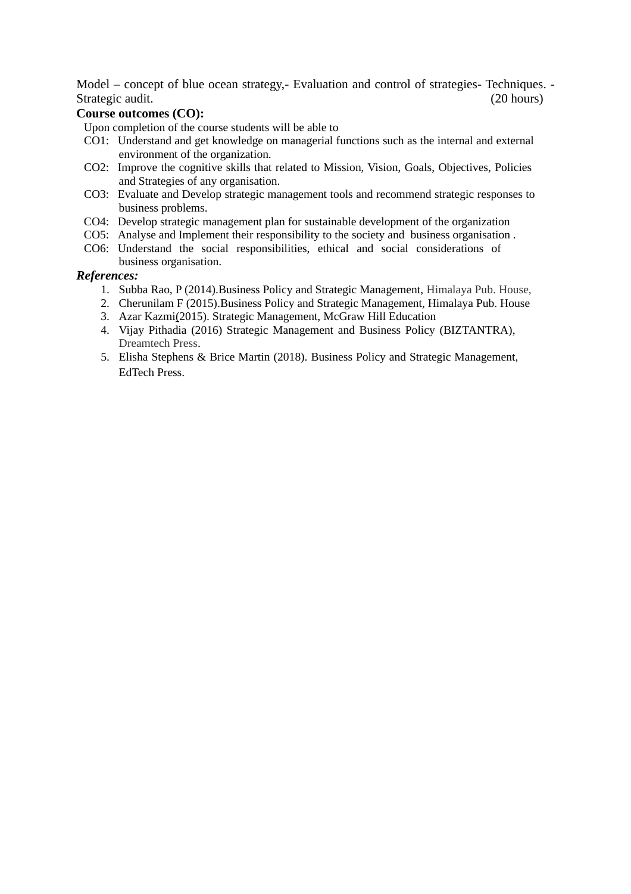Model – concept of blue ocean strategy,- Evaluation and control of strategies- Techniques. - Strategic audit. (20 hours)

### **Course outcomes (CO):**

Upon completion of the course students will be able to

- CO1: Understand and get knowledge on managerial functions such as the internal and external environment of the organization.
- CO2: Improve the cognitive skills that related to Mission, Vision, Goals, Objectives, Policies and Strategies of any organisation.
- CO3: Evaluate and Develop strategic management tools and recommend strategic responses to business problems.
- CO4: Develop strategic management plan for sustainable development of the organization
- CO5: Analyse and Implement their responsibility to the society and business organisation .
- CO6: Understand the social responsibilities, ethical and social considerations of business organisation.

#### *References:*

- 1. Subba Rao, P (2014).Business Policy and Strategic Management, Himalaya Pub. House,
- 2. Cherunilam F (2015).Business Policy and Strategic Management, Himalaya Pub. House
- 3. Azar Kazmi(2015). Strategic Management, McGraw Hill Education
- 4. Vijay Pithadia (2016) Strategic Management and Business Policy (BIZTANTRA), Dreamtech Press.
- 5. Elisha Stephens & Brice Martin (2018). Business Policy and Strategic Management, EdTech Press.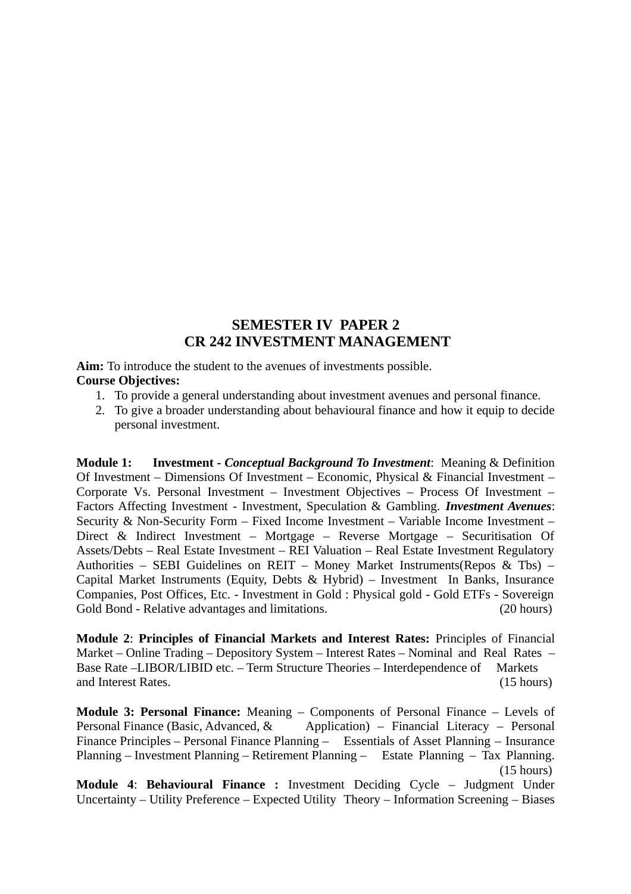### **SEMESTER IV PAPER 2 CR 242 INVESTMENT MANAGEMENT**

**Aim:** To introduce the student to the avenues of investments possible.

### **Course Objectives:**

- 1. To provide a general understanding about investment avenues and personal finance.
- 2. To give a broader understanding about behavioural finance and how it equip to decide personal investment.

**Module 1: Investment -** *Conceptual Background To Investment*: Meaning & Definition Of Investment – Dimensions Of Investment – Economic, Physical & Financial Investment – Corporate Vs. Personal Investment – Investment Objectives – Process Of Investment – Factors Affecting Investment - Investment, Speculation & Gambling. *Investment Avenues*: Security & Non-Security Form – Fixed Income Investment – Variable Income Investment – Direct & Indirect Investment – Mortgage – Reverse Mortgage – Securitisation Of Assets/Debts – Real Estate Investment – REI Valuation – Real Estate Investment Regulatory Authorities – SEBI Guidelines on REIT – Money Market Instruments(Repos & Tbs) – Capital Market Instruments (Equity, Debts & Hybrid) – Investment In Banks, Insurance Companies, Post Offices, Etc. - Investment in Gold : Physical gold - Gold ETFs - Sovereign Gold Bond - Relative advantages and limitations. (20 hours)

**Module 2**: **Principles of Financial Markets and Interest Rates:** Principles of Financial Market – Online Trading – Depository System – Interest Rates – Nominal and Real Rates – Base Rate –LIBOR/LIBID etc. – Term Structure Theories – Interdependence of Markets and Interest Rates. (15 hours)

**Module 3: Personal Finance:** Meaning – Components of Personal Finance – Levels of Personal Finance (Basic, Advanced, & Application) – Financial Literacy – Personal Finance Principles – Personal Finance Planning – Essentials of Asset Planning – Insurance Planning – Investment Planning – Retirement Planning – Estate Planning – Tax Planning. (15 hours)

**Module 4**: **Behavioural Finance :** Investment Deciding Cycle – Judgment Under Uncertainty – Utility Preference – Expected Utility Theory – Information Screening – Biases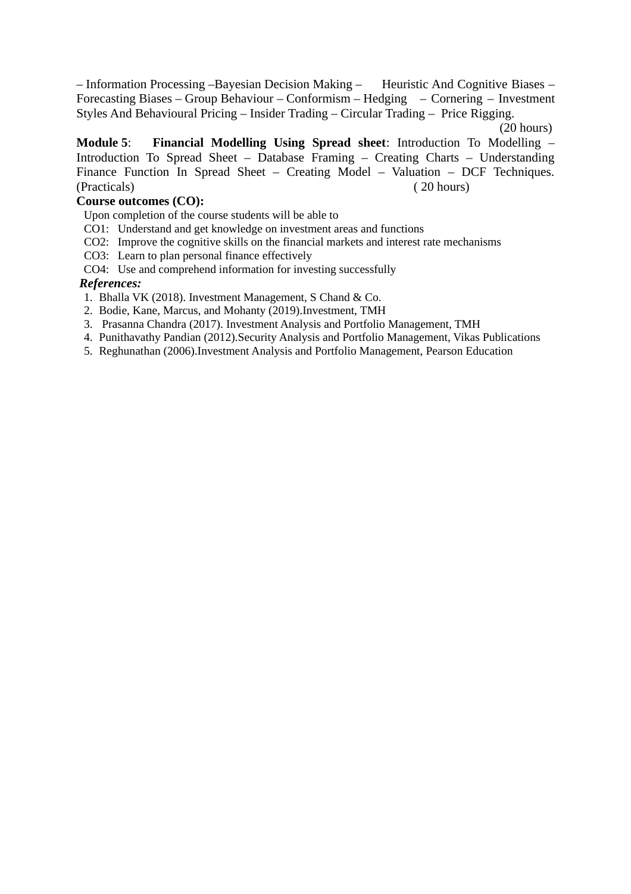– Information Processing –Bayesian Decision Making – Heuristic And Cognitive Biases – Forecasting Biases – Group Behaviour – Conformism – Hedging – Cornering – Investment Styles And Behavioural Pricing – Insider Trading – Circular Trading – Price Rigging.

**Module 5**: **Financial Modelling Using Spread sheet**: Introduction To Modelling – Introduction To Spread Sheet – Database Framing – Creating Charts – Understanding Finance Function In Spread Sheet – Creating Model – Valuation – DCF Techniques. (Practicals) ( 20 hours)

### **Course outcomes (CO):**

- Upon completion of the course students will be able to
- CO1: Understand and get knowledge on investment areas and functions
- CO2: Improve the cognitive skills on the financial markets and interest rate mechanisms
- CO3: Learn to plan personal finance effectively

CO4: Use and comprehend information for investing successfully

### *References:*

- 1. Bhalla VK (2018). Investment Management, S Chand & Co.
- 2. Bodie, Kane, Marcus, and Mohanty (2019).Investment, TMH
- 3. Prasanna Chandra (2017). Investment Analysis and Portfolio Management, TMH
- 4. Punithavathy Pandian (2012).Security Analysis and Portfolio Management, Vikas Publications
- 5. Reghunathan (2006).Investment Analysis and Portfolio Management, Pearson Education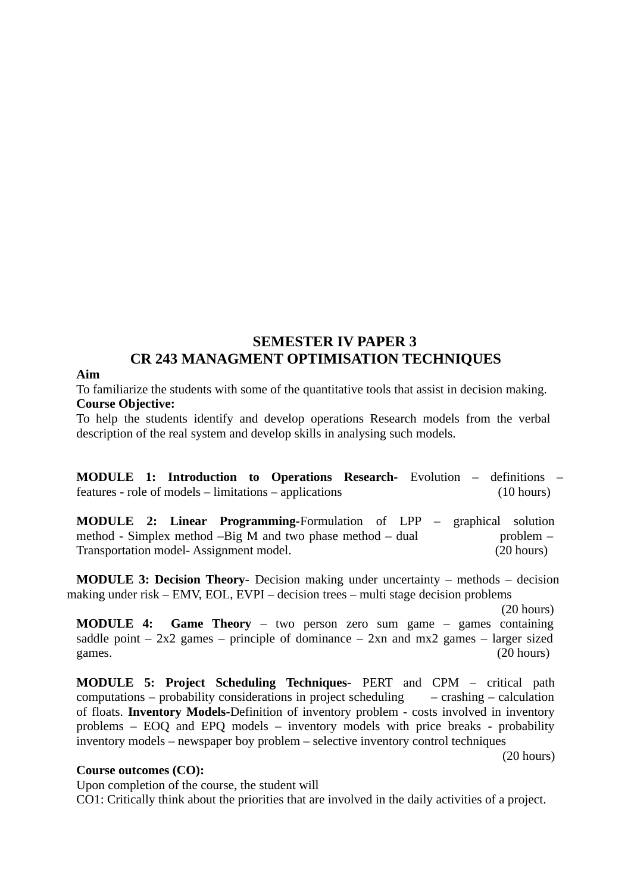## **SEMESTER IV PAPER 3 CR 243 MANAGMENT OPTIMISATION TECHNIQUES**

### **Aim**

To familiarize the students with some of the quantitative tools that assist in decision making. **Course Objective:**

To help the students identify and develop operations Research models from the verbal description of the real system and develop skills in analysing such models.

**MODULE 1: Introduction to Operations Research-** Evolution – definitions – features - role of models – limitations – applications (10 hours)

**MODULE 2: Linear Programming-**Formulation of LPP – graphical solution method - Simplex method  $-Big$  M and two phase method  $-$  dual problem  $-$ Transportation model- Assignment model. (20 hours)

**MODULE 3: Decision Theory-** Decision making under uncertainty – methods – decision making under risk – EMV, EOL, EVPI – decision trees – multi stage decision problems

(20 hours)

**MODULE 4: Game Theory** – two person zero sum game – games containing saddle point  $-2x^2$  games – principle of dominance  $-2x$ n and mx2 games – larger sized games. (20 hours)

**MODULE 5: Project Scheduling Techniques-** PERT and CPM – critical path computations – probability considerations in project scheduling – crashing – calculation of floats. **Inventory Models-**Definition of inventory problem - costs involved in inventory problems – EOQ and EPQ models – inventory models with price breaks - probability inventory models – newspaper boy problem – selective inventory control techniques

(20 hours)

#### **Course outcomes (CO):**

Upon completion of the course, the student will

CO1: Critically think about the priorities that are involved in the daily activities of a project.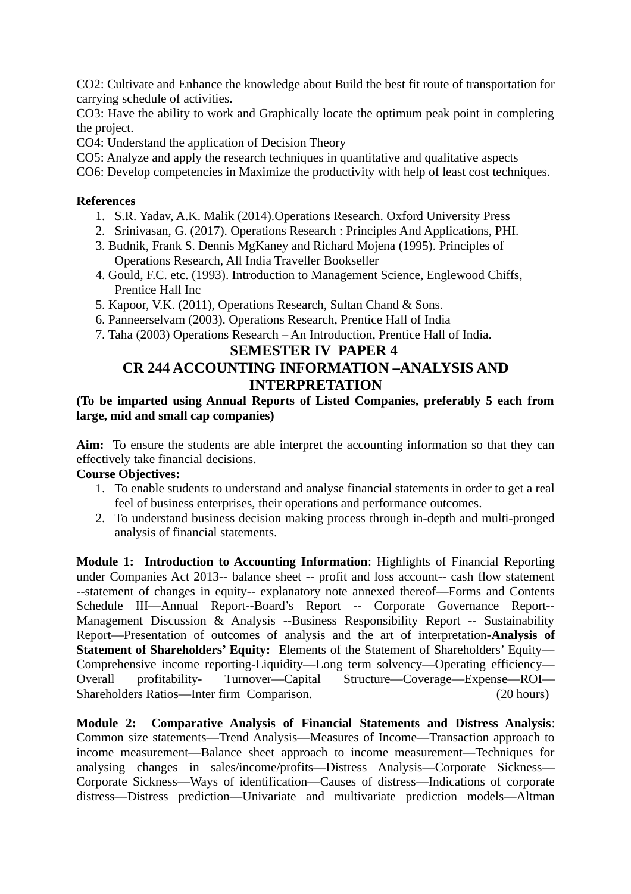CO2: Cultivate and Enhance the knowledge about Build the best fit route of transportation for carrying schedule of activities.

CO3: Have the ability to work and Graphically locate the optimum peak point in completing the project.

CO4: Understand the application of Decision Theory

CO5: Analyze and apply the research techniques in quantitative and qualitative aspects

CO6: Develop competencies in Maximize the productivity with help of least cost techniques.

### **References**

- 1. S.R. Yadav, A.K. Malik (2014).Operations Research. Oxford University Press
- 2. Srinivasan, G. (2017). Operations Research : Principles And Applications, PHI.
- 3. Budnik, Frank S. Dennis MgKaney and Richard Mojena (1995). Principles of Operations Research, All India Traveller Bookseller
- 4. Gould, F.C. etc. (1993). Introduction to Management Science, Englewood Chiffs, Prentice Hall Inc
- 5. Kapoor, V.K. (2011), Operations Research, Sultan Chand & Sons.
- 6. Panneerselvam (2003). Operations Research, Prentice Hall of India
- 7. Taha (2003) Operations Research An Introduction, Prentice Hall of India.

## **SEMESTER IV PAPER 4 CR 244 ACCOUNTING INFORMATION –ANALYSIS AND INTERPRETATION**

### **(To be imparted using Annual Reports of Listed Companies, preferably 5 each from large, mid and small cap companies)**

**Aim:** To ensure the students are able interpret the accounting information so that they can effectively take financial decisions.

### **Course Objectives:**

- 1. To enable students to understand and analyse financial statements in order to get a real feel of business enterprises, their operations and performance outcomes.
- 2. To understand business decision making process through in-depth and multi-pronged analysis of financial statements.

**Module 1: Introduction to Accounting Information**: Highlights of Financial Reporting under Companies Act 2013-- balance sheet -- profit and loss account-- cash flow statement --statement of changes in equity-- explanatory note annexed thereof—Forms and Contents Schedule III—Annual Report--Board's Report -- Corporate Governance Report-- Management Discussion & Analysis --Business Responsibility Report -- Sustainability Report—Presentation of outcomes of analysis and the art of interpretation-**Analysis of Statement of Shareholders' Equity:** Elements of the Statement of Shareholders' Equity— Comprehensive income reporting-Liquidity—Long term solvency—Operating efficiency— Overall profitability- Turnover—Capital Structure—Coverage—Expense—ROI— Shareholders Ratios—Inter firm Comparison. (20 hours)

**Module 2: Comparative Analysis of Financial Statements and Distress Analysis**: Common size statements—Trend Analysis—Measures of Income—Transaction approach to income measurement—Balance sheet approach to income measurement—Techniques for analysing changes in sales/income/profits—Distress Analysis—Corporate Sickness— Corporate Sickness—Ways of identification—Causes of distress—Indications of corporate distress—Distress prediction—Univariate and multivariate prediction models—Altman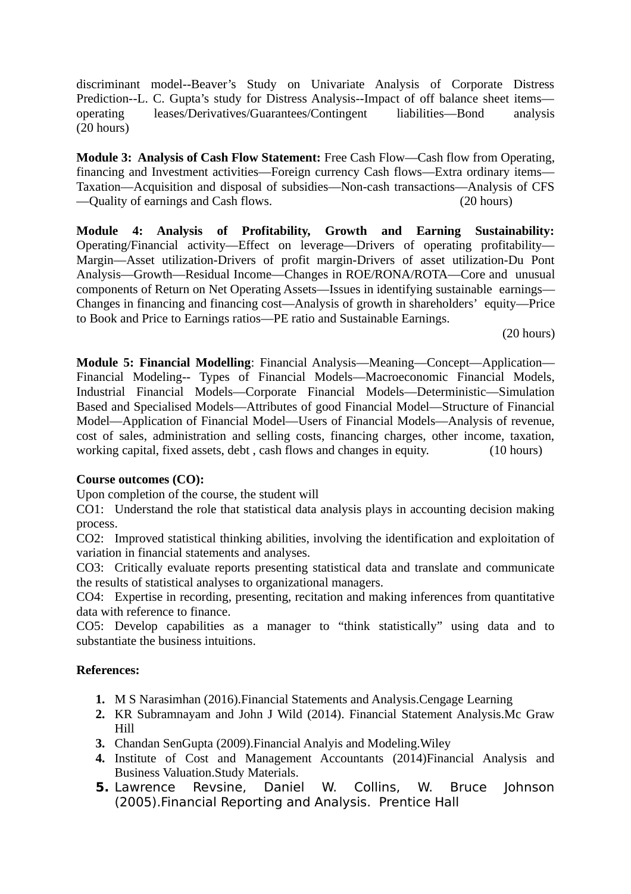discriminant model--Beaver's Study on Univariate Analysis of Corporate Distress Prediction--L. C. Gupta's study for Distress Analysis--Impact of off balance sheet items operating leases/Derivatives/Guarantees/Contingent liabilities—Bond analysis (20 hours)

**Module 3: Analysis of Cash Flow Statement:** Free Cash Flow—Cash flow from Operating, financing and Investment activities—Foreign currency Cash flows—Extra ordinary items— Taxation—Acquisition and disposal of subsidies—Non-cash transactions—Analysis of CFS —Quality of earnings and Cash flows. (20 hours)

**Module 4: Analysis of Profitability, Growth and Earning Sustainability:** Operating/Financial activity—Effect on leverage—Drivers of operating profitability— Margin—Asset utilization-Drivers of profit margin-Drivers of asset utilization-Du Pont Analysis—Growth—Residual Income—Changes in ROE/RONA/ROTA—Core and unusual components of Return on Net Operating Assets—Issues in identifying sustainable earnings— Changes in financing and financing cost—Analysis of growth in shareholders' equity—Price to Book and Price to Earnings ratios—PE ratio and Sustainable Earnings.

(20 hours)

**Module 5: Financial Modelling**: Financial Analysis—Meaning—Concept—Application— Financial Modeling-- Types of Financial Models—Macroeconomic Financial Models, Industrial Financial Models—Corporate Financial Models—Deterministic—Simulation Based and Specialised Models—Attributes of good Financial Model—Structure of Financial Model—Application of Financial Model—Users of Financial Models—Analysis of revenue, cost of sales, administration and selling costs, financing charges, other income, taxation, working capital, fixed assets, debt , cash flows and changes in equity. (10 hours)

### **Course outcomes (CO):**

Upon completion of the course, the student will

CO1: Understand the role that statistical data analysis plays in accounting decision making process.

CO2: Improved statistical thinking abilities, involving the identification and exploitation of variation in financial statements and analyses.

CO3: Critically evaluate reports presenting statistical data and translate and communicate the results of statistical analyses to organizational managers.

CO4: Expertise in recording, presenting, recitation and making inferences from quantitative data with reference to finance.

CO5: Develop capabilities as a manager to "think statistically" using data and to substantiate the business intuitions.

### **References:**

- **1.** M S Narasimhan (2016).Financial Statements and Analysis.Cengage Learning
- **2.** KR Subramnayam and John J Wild (2014). Financial Statement Analysis.Mc Graw Hill
- **3.** Chandan SenGupta (2009).Financial Analyis and Modeling.Wiley
- **4.** Institute of Cost and Management Accountants (2014)Financial Analysis and Business Valuation.Study Materials.
- **5.** Lawrence Revsine, Daniel W. Collins, W. Bruce Johnson (2005).Financial Reporting and Analysis. Prentice Hall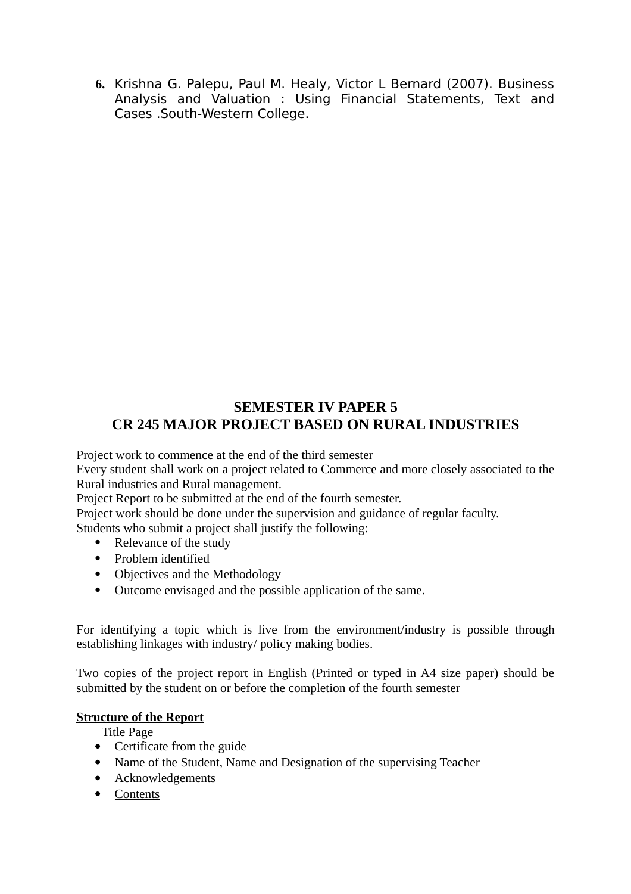**6.** Krishna G. Palepu, Paul M. Healy, Victor L Bernard (2007). Business Analysis and Valuation : Using Financial Statements, Text and Cases .South-Western College.

## **SEMESTER IV PAPER 5 CR 245 MAJOR PROJECT BASED ON RURAL INDUSTRIES**

Project work to commence at the end of the third semester

Every student shall work on a project related to Commerce and more closely associated to the Rural industries and Rural management.

Project Report to be submitted at the end of the fourth semester.

Project work should be done under the supervision and guidance of regular faculty.

Students who submit a project shall justify the following:

- Relevance of the study
- Problem identified
- Objectives and the Methodology
- Outcome envisaged and the possible application of the same.

For identifying a topic which is live from the environment/industry is possible through establishing linkages with industry/ policy making bodies.

Two copies of the project report in English (Printed or typed in A4 size paper) should be submitted by the student on or before the completion of the fourth semester

### **Structure of the Report**

Title Page

- Certificate from the guide
- Name of the Student, Name and Designation of the supervising Teacher
- Acknowledgements
- Contents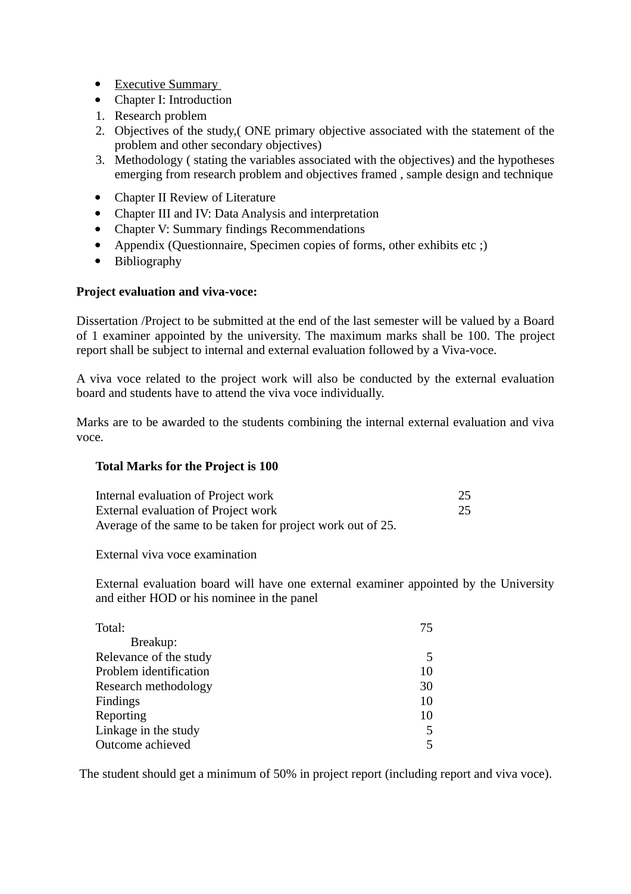- Executive Summary
- Chapter I: Introduction
- 1. Research problem
- 2. Objectives of the study,( ONE primary objective associated with the statement of the problem and other secondary objectives)
- 3. Methodology ( stating the variables associated with the objectives) and the hypotheses emerging from research problem and objectives framed , sample design and technique
- Chapter II Review of Literature
- Chapter III and IV: Data Analysis and interpretation
- Chapter V: Summary findings Recommendations
- Appendix (Questionnaire, Specimen copies of forms, other exhibits etc ;)
- Bibliography

### **Project evaluation and viva-voce:**

Dissertation /Project to be submitted at the end of the last semester will be valued by a Board of 1 examiner appointed by the university. The maximum marks shall be 100. The project report shall be subject to internal and external evaluation followed by a Viva-voce.

A viva voce related to the project work will also be conducted by the external evaluation board and students have to attend the viva voce individually.

Marks are to be awarded to the students combining the internal external evaluation and viva voce.

### **Total Marks for the Project is 100**

| Internal evaluation of Project work                         | 25 |
|-------------------------------------------------------------|----|
| External evaluation of Project work                         | 25 |
| Average of the same to be taken for project work out of 25. |    |

External viva voce examination

External evaluation board will have one external examiner appointed by the University and either HOD or his nominee in the panel

| Total:                 | 75 |
|------------------------|----|
| Breakup:               |    |
| Relevance of the study | h. |
| Problem identification | 10 |
| Research methodology   | 30 |
| Findings               | 10 |
| Reporting              | 10 |
| Linkage in the study   | 5  |
| Outcome achieved       | 5  |

The student should get a minimum of 50% in project report (including report and viva voce).